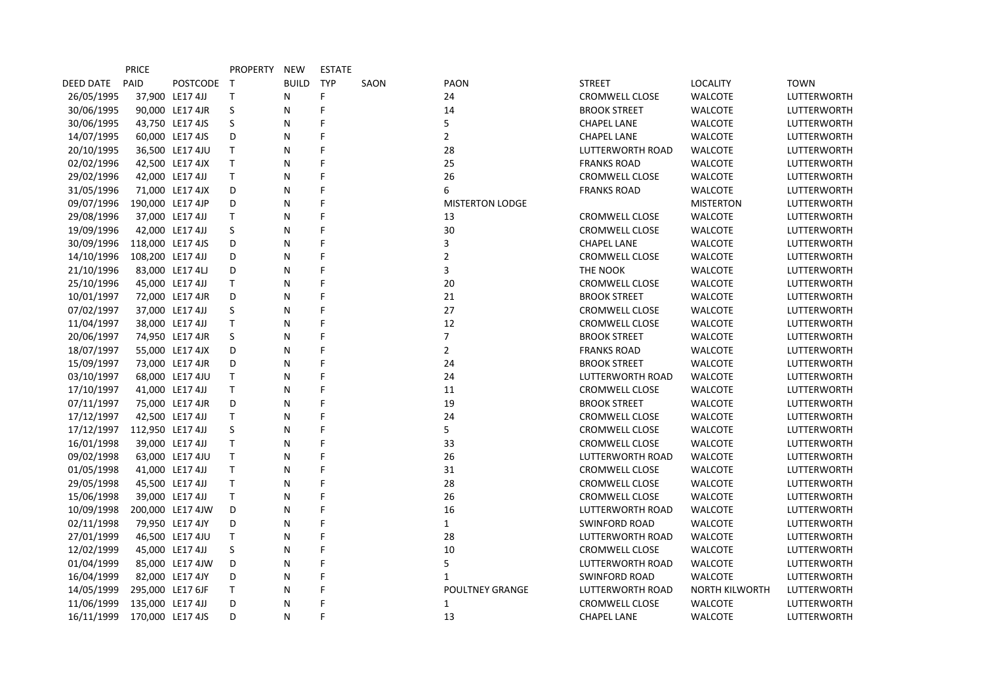|            | <b>PRICE</b> |                  | <b>PROPERTY</b> | NEW          | <b>ESTATE</b> |      |                        |                       |                       |                    |
|------------|--------------|------------------|-----------------|--------------|---------------|------|------------------------|-----------------------|-----------------------|--------------------|
| DEED DATE  | PAID         | POSTCODE T       |                 | <b>BUILD</b> | <b>TYP</b>    | SAON | PAON                   | <b>STREET</b>         | <b>LOCALITY</b>       | <b>TOWN</b>        |
| 26/05/1995 |              | 37,900 LE17 4JJ  | T               | N            | F             |      | 24                     | <b>CROMWELL CLOSE</b> | <b>WALCOTE</b>        | <b>LUTTERWORTH</b> |
| 30/06/1995 |              | 90,000 LE17 4JR  | S               | N            | F             |      | 14                     | <b>BROOK STREET</b>   | <b>WALCOTE</b>        | <b>LUTTERWORTH</b> |
| 30/06/1995 |              | 43,750 LE17 4JS  | S               | N            | F             |      | 5                      | <b>CHAPEL LANE</b>    | <b>WALCOTE</b>        | LUTTERWORTH        |
| 14/07/1995 |              | 60,000 LE17 4JS  | D               | N            | F             |      | $\overline{2}$         | <b>CHAPEL LANE</b>    | <b>WALCOTE</b>        | <b>LUTTERWORTH</b> |
| 20/10/1995 |              | 36,500 LE17 4JU  | T               | N            | F             |      | 28                     | LUTTERWORTH ROAD      | <b>WALCOTE</b>        | <b>LUTTERWORTH</b> |
| 02/02/1996 |              | 42,500 LE17 4JX  | T               | N            | F             |      | 25                     | <b>FRANKS ROAD</b>    | <b>WALCOTE</b>        | LUTTERWORTH        |
| 29/02/1996 |              | 42,000 LE17 4JJ  | T               | N            | F             |      | 26                     | <b>CROMWELL CLOSE</b> | <b>WALCOTE</b>        | <b>LUTTERWORTH</b> |
| 31/05/1996 |              | 71,000 LE17 4JX  | D               | N            | F             |      | 6                      | <b>FRANKS ROAD</b>    | <b>WALCOTE</b>        | <b>LUTTERWORTH</b> |
| 09/07/1996 |              | 190,000 LE17 4JP | D               | N            | F             |      | <b>MISTERTON LODGE</b> |                       | <b>MISTERTON</b>      | LUTTERWORTH        |
| 29/08/1996 |              | 37,000 LE17 4JJ  | T               | N            | F             |      | 13                     | CROMWELL CLOSE        | <b>WALCOTE</b>        | LUTTERWORTH        |
| 19/09/1996 |              | 42,000 LE17 4JJ  | S               | N            | F             |      | 30                     | <b>CROMWELL CLOSE</b> | <b>WALCOTE</b>        | <b>LUTTERWORTH</b> |
| 30/09/1996 |              | 118,000 LE17 4JS | D               | N            | F             |      | 3                      | <b>CHAPEL LANE</b>    | <b>WALCOTE</b>        | <b>LUTTERWORTH</b> |
| 14/10/1996 |              | 108,200 LE17 4JJ | D               | N            | F             |      | 2                      | CROMWELL CLOSE        | <b>WALCOTE</b>        | LUTTERWORTH        |
| 21/10/1996 |              | 83,000 LE17 4LJ  | D               | N            | F             |      | 3                      | THE NOOK              | <b>WALCOTE</b>        | LUTTERWORTH        |
| 25/10/1996 |              | 45,000 LE17 4JJ  | T               | N            | F             |      | 20                     | <b>CROMWELL CLOSE</b> | <b>WALCOTE</b>        | <b>LUTTERWORTH</b> |
| 10/01/1997 |              | 72,000 LE17 4JR  | D               | N            | F             |      | 21                     | <b>BROOK STREET</b>   | <b>WALCOTE</b>        | LUTTERWORTH        |
| 07/02/1997 |              | 37,000 LE17 4JJ  | S               | N            | F             |      | 27                     | <b>CROMWELL CLOSE</b> | <b>WALCOTE</b>        | LUTTERWORTH        |
| 11/04/1997 |              | 38,000 LE17 4JJ  | T               | N            | F             |      | 12                     | <b>CROMWELL CLOSE</b> | <b>WALCOTE</b>        | <b>LUTTERWORTH</b> |
| 20/06/1997 |              | 74,950 LE17 4JR  | S               | N            | F             |      | 7                      | <b>BROOK STREET</b>   | <b>WALCOTE</b>        | <b>LUTTERWORTH</b> |
| 18/07/1997 |              | 55,000 LE17 4JX  | D               | N            | F             |      | $\overline{2}$         | <b>FRANKS ROAD</b>    | <b>WALCOTE</b>        | LUTTERWORTH        |
| 15/09/1997 |              | 73,000 LE17 4JR  | D               | N            | F             |      | 24                     | <b>BROOK STREET</b>   | <b>WALCOTE</b>        | <b>LUTTERWORTH</b> |
| 03/10/1997 |              | 68,000 LE17 4JU  | T               | N            | F             |      | 24                     | LUTTERWORTH ROAD      | <b>WALCOTE</b>        | <b>LUTTERWORTH</b> |
| 17/10/1997 |              | 41,000 LE17 4JJ  | T               | N            | F             |      | 11                     | <b>CROMWELL CLOSE</b> | <b>WALCOTE</b>        | <b>LUTTERWORTH</b> |
| 07/11/1997 |              | 75,000 LE17 4JR  | D               | N            | F             |      | 19                     | <b>BROOK STREET</b>   | <b>WALCOTE</b>        | <b>LUTTERWORTH</b> |
| 17/12/1997 |              | 42,500 LE17 4JJ  | T.              | N            | F             |      | 24                     | <b>CROMWELL CLOSE</b> | <b>WALCOTE</b>        | <b>LUTTERWORTH</b> |
| 17/12/1997 |              | 112,950 LE17 4JJ | S               | N            | F             |      | 5                      | <b>CROMWELL CLOSE</b> | <b>WALCOTE</b>        | <b>LUTTERWORTH</b> |
| 16/01/1998 |              | 39,000 LE17 4JJ  | T               | N            | F             |      | 33                     | <b>CROMWELL CLOSE</b> | <b>WALCOTE</b>        | <b>LUTTERWORTH</b> |
| 09/02/1998 |              | 63,000 LE17 4JU  | T               | N            | F             |      | 26                     | LUTTERWORTH ROAD      | <b>WALCOTE</b>        | LUTTERWORTH        |
| 01/05/1998 |              | 41,000 LE17 4JJ  | T               | N            | F             |      | 31                     | <b>CROMWELL CLOSE</b> | <b>WALCOTE</b>        | <b>LUTTERWORTH</b> |
| 29/05/1998 |              | 45,500 LE17 4JJ  | T               | N            | F             |      | 28                     | CROMWELL CLOSE        | <b>WALCOTE</b>        | LUTTERWORTH        |
| 15/06/1998 |              | 39,000 LE17 4JJ  | T               | N            | F             |      | 26                     | <b>CROMWELL CLOSE</b> | <b>WALCOTE</b>        | <b>LUTTERWORTH</b> |
| 10/09/1998 |              | 200,000 LE17 4JW | D               | N            | F             |      | 16                     | LUTTERWORTH ROAD      | <b>WALCOTE</b>        | <b>LUTTERWORTH</b> |
| 02/11/1998 |              | 79,950 LE17 4JY  | D               | N            | F             |      | $\mathbf{1}$           | <b>SWINFORD ROAD</b>  | <b>WALCOTE</b>        | <b>LUTTERWORTH</b> |
| 27/01/1999 |              | 46,500 LE17 4JU  | T               | N            | F             |      | 28                     | LUTTERWORTH ROAD      | <b>WALCOTE</b>        | <b>LUTTERWORTH</b> |
| 12/02/1999 |              | 45,000 LE17 4JJ  | S               | N            | F             |      | 10                     | <b>CROMWELL CLOSE</b> | <b>WALCOTE</b>        | LUTTERWORTH        |
| 01/04/1999 |              | 85,000 LE17 4JW  | D               | N            | F             |      | 5                      | LUTTERWORTH ROAD      | <b>WALCOTE</b>        | <b>LUTTERWORTH</b> |
| 16/04/1999 |              | 82,000 LE17 4JY  | D               | N            | F             |      | $\mathbf{1}$           | <b>SWINFORD ROAD</b>  | <b>WALCOTE</b>        | <b>LUTTERWORTH</b> |
| 14/05/1999 |              | 295,000 LE17 6JF | T               | N            | F             |      | <b>POULTNEY GRANGE</b> | LUTTERWORTH ROAD      | <b>NORTH KILWORTH</b> | LUTTERWORTH        |
| 11/06/1999 |              | 135,000 LE17 4JJ | D               | N            | F             |      | 1                      | CROMWELL CLOSE        | <b>WALCOTE</b>        | LUTTERWORTH        |
| 16/11/1999 |              | 170,000 LE17 4JS | D               | N            | F             |      | 13                     | <b>CHAPEL LANE</b>    | <b>WALCOTE</b>        | <b>LUTTERWORTH</b> |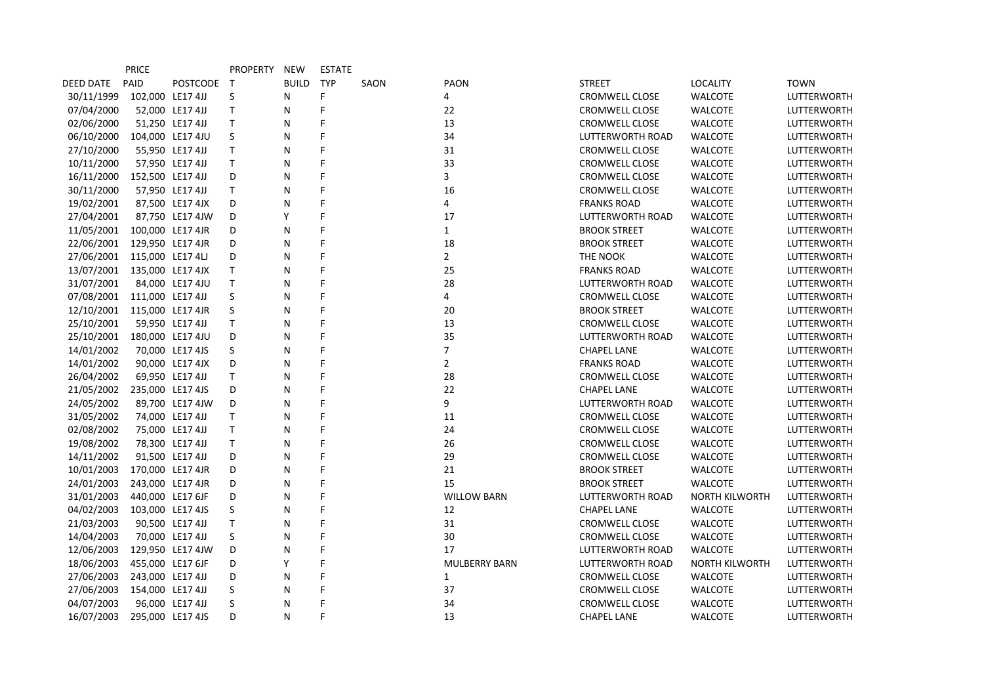|                  | <b>PRICE</b>     |                  | <b>PROPERTY</b> | NEW          | <b>ESTATE</b> |      |                      |                       |                       |                    |
|------------------|------------------|------------------|-----------------|--------------|---------------|------|----------------------|-----------------------|-----------------------|--------------------|
| <b>DEED DATE</b> | PAID             | POSTCODE T       |                 | <b>BUILD</b> | <b>TYP</b>    | SAON | <b>PAON</b>          | <b>STREET</b>         | <b>LOCALITY</b>       | <b>TOWN</b>        |
| 30/11/1999       | 102,000 LE17 4JJ |                  | S               | N            | F.            |      | 4                    | <b>CROMWELL CLOSE</b> | <b>WALCOTE</b>        | <b>LUTTERWORTH</b> |
| 07/04/2000       |                  | 52,000 LE17 4JJ  | Τ               | N            | F             |      | 22                   | CROMWELL CLOSE        | <b>WALCOTE</b>        | LUTTERWORTH        |
| 02/06/2000       |                  | 51,250 LE17 4JJ  | T               | N            | F             |      | 13                   | <b>CROMWELL CLOSE</b> | <b>WALCOTE</b>        | LUTTERWORTH        |
| 06/10/2000       |                  | 104,000 LE17 4JU | S               | N            | F             |      | 34                   | LUTTERWORTH ROAD      | <b>WALCOTE</b>        | <b>LUTTERWORTH</b> |
| 27/10/2000       |                  | 55,950 LE17 4JJ  | T.              | N            | F             |      | 31                   | <b>CROMWELL CLOSE</b> | <b>WALCOTE</b>        | <b>LUTTERWORTH</b> |
| 10/11/2000       |                  | 57,950 LE17 4JJ  | T               | N            | F             |      | 33                   | <b>CROMWELL CLOSE</b> | <b>WALCOTE</b>        | LUTTERWORTH        |
| 16/11/2000       | 152,500 LE17 4JJ |                  | D               | N            | F             |      | 3                    | <b>CROMWELL CLOSE</b> | <b>WALCOTE</b>        | <b>LUTTERWORTH</b> |
| 30/11/2000       |                  | 57,950 LE17 4JJ  | T.              | N            | F             |      | 16                   | <b>CROMWELL CLOSE</b> | <b>WALCOTE</b>        | <b>LUTTERWORTH</b> |
| 19/02/2001       |                  | 87,500 LE17 4JX  | D               | N            | F             |      | 4                    | <b>FRANKS ROAD</b>    | <b>WALCOTE</b>        | LUTTERWORTH        |
| 27/04/2001       |                  | 87,750 LE17 4JW  | D               | Υ            | F             |      | 17                   | LUTTERWORTH ROAD      | <b>WALCOTE</b>        | LUTTERWORTH        |
| 11/05/2001       |                  | 100,000 LE17 4JR | D               | N            | F             |      | $\mathbf{1}$         | <b>BROOK STREET</b>   | <b>WALCOTE</b>        | <b>LUTTERWORTH</b> |
| 22/06/2001       | 129,950 LE17 4JR |                  | D               | N            | F             |      | 18                   | <b>BROOK STREET</b>   | <b>WALCOTE</b>        | <b>LUTTERWORTH</b> |
| 27/06/2001       | 115,000 LE17 4LJ |                  | D               | N            | F             |      | $\overline{2}$       | THE NOOK              | <b>WALCOTE</b>        | LUTTERWORTH        |
| 13/07/2001       | 135,000 LE17 4JX |                  | T.              | N            | F             |      | 25                   | <b>FRANKS ROAD</b>    | <b>WALCOTE</b>        | LUTTERWORTH        |
| 31/07/2001       |                  | 84,000 LE17 4JU  | T               | N            | F             |      | 28                   | LUTTERWORTH ROAD      | <b>WALCOTE</b>        | LUTTERWORTH        |
| 07/08/2001       | 111,000 LE17 4JJ |                  | S               | N            | F             |      | 4                    | <b>CROMWELL CLOSE</b> | <b>WALCOTE</b>        | LUTTERWORTH        |
| 12/10/2001       | 115,000 LE17 4JR |                  | S               | N            | F             |      | 20                   | <b>BROOK STREET</b>   | <b>WALCOTE</b>        | LUTTERWORTH        |
| 25/10/2001       |                  | 59,950 LE17 4JJ  | T               | N            | F             |      | 13                   | <b>CROMWELL CLOSE</b> | <b>WALCOTE</b>        | <b>LUTTERWORTH</b> |
| 25/10/2001       |                  | 180,000 LE17 4JU | D               | N            | F             |      | 35                   | LUTTERWORTH ROAD      | <b>WALCOTE</b>        | <b>LUTTERWORTH</b> |
| 14/01/2002       |                  | 70,000 LE17 4JS  | S               | N            | F             |      | $\overline{7}$       | <b>CHAPEL LANE</b>    | <b>WALCOTE</b>        | LUTTERWORTH        |
| 14/01/2002       |                  | 90,000 LE17 4JX  | D               | N            | F             |      | $\overline{2}$       | <b>FRANKS ROAD</b>    | <b>WALCOTE</b>        | <b>LUTTERWORTH</b> |
| 26/04/2002       |                  | 69,950 LE17 4JJ  | T.              | N            | F             |      | 28                   | <b>CROMWELL CLOSE</b> | <b>WALCOTE</b>        | <b>LUTTERWORTH</b> |
| 21/05/2002       |                  | 235,000 LE17 4JS | D               | N            | F             |      | 22                   | <b>CHAPEL LANE</b>    | WALCOTE               | LUTTERWORTH        |
| 24/05/2002       |                  | 89,700 LE17 4JW  | D               | N            | F             |      | 9                    | LUTTERWORTH ROAD      | <b>WALCOTE</b>        | LUTTERWORTH        |
| 31/05/2002       |                  | 74,000 LE17 4JJ  | T.              | N            | F             |      | 11                   | <b>CROMWELL CLOSE</b> | <b>WALCOTE</b>        | <b>LUTTERWORTH</b> |
| 02/08/2002       |                  | 75,000 LE17 4JJ  | T               | N            | F             |      | 24                   | <b>CROMWELL CLOSE</b> | <b>WALCOTE</b>        | <b>LUTTERWORTH</b> |
| 19/08/2002       |                  | 78,300 LE17 4JJ  | T               | N            | F             |      | 26                   | <b>CROMWELL CLOSE</b> | <b>WALCOTE</b>        | LUTTERWORTH        |
| 14/11/2002       |                  | 91,500 LE17 4JJ  | D               | N            | F             |      | 29                   | CROMWELL CLOSE        | <b>WALCOTE</b>        | LUTTERWORTH        |
| 10/01/2003       |                  | 170,000 LE17 4JR | D               | N            | F             |      | 21                   | <b>BROOK STREET</b>   | <b>WALCOTE</b>        | <b>LUTTERWORTH</b> |
| 24/01/2003       |                  | 243,000 LE17 4JR | D               | N            | F             |      | 15                   | <b>BROOK STREET</b>   | <b>WALCOTE</b>        | LUTTERWORTH        |
| 31/01/2003       |                  | 440,000 LE17 6JF | D               | N            | F             |      | <b>WILLOW BARN</b>   | LUTTERWORTH ROAD      | <b>NORTH KILWORTH</b> | LUTTERWORTH        |
| 04/02/2003       |                  | 103,000 LE17 4JS | S               | N            | F             |      | 12                   | <b>CHAPEL LANE</b>    | <b>WALCOTE</b>        | <b>LUTTERWORTH</b> |
| 21/03/2003       |                  | 90,500 LE17 4JJ  | T.              | N            | F             |      | 31                   | <b>CROMWELL CLOSE</b> | <b>WALCOTE</b>        | <b>LUTTERWORTH</b> |
| 14/04/2003       |                  | 70,000 LE17 4JJ  | S               | N            | F             |      | 30                   | <b>CROMWELL CLOSE</b> | <b>WALCOTE</b>        | LUTTERWORTH        |
| 12/06/2003       |                  | 129,950 LE17 4JW | D               | N            | F             |      | 17                   | LUTTERWORTH ROAD      | <b>WALCOTE</b>        | LUTTERWORTH        |
| 18/06/2003       |                  | 455,000 LE17 6JF | D               | Y            | F             |      | <b>MULBERRY BARN</b> | LUTTERWORTH ROAD      | <b>NORTH KILWORTH</b> | <b>LUTTERWORTH</b> |
| 27/06/2003       | 243,000 LE17 4JJ |                  | D               | N            | F             |      | $\mathbf{1}$         | CROMWELL CLOSE        | <b>WALCOTE</b>        | <b>LUTTERWORTH</b> |
| 27/06/2003       | 154,000 LE17 4JJ |                  | S               | N            | F             |      | 37                   | <b>CROMWELL CLOSE</b> | <b>WALCOTE</b>        | <b>LUTTERWORTH</b> |
| 04/07/2003       |                  | 96,000 LE17 4JJ  | S               | N            | F             |      | 34                   | <b>CROMWELL CLOSE</b> | <b>WALCOTE</b>        | LUTTERWORTH        |
| 16/07/2003       |                  | 295,000 LE17 4JS | D.              | N            | F             |      | 13                   | <b>CHAPEL LANE</b>    | <b>WALCOTE</b>        | <b>LUTTERWORTH</b> |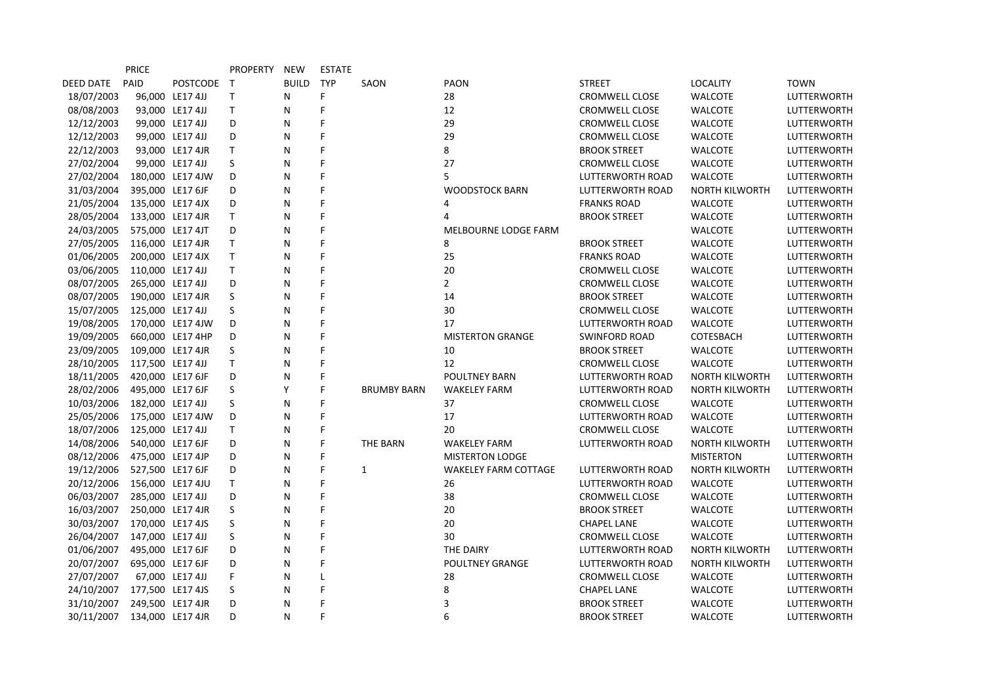|            | <b>PRICE</b>     |                  | <b>PROPERTY</b> | NEW          | <b>ESTATE</b> |                    |                             |                         |                       |                    |
|------------|------------------|------------------|-----------------|--------------|---------------|--------------------|-----------------------------|-------------------------|-----------------------|--------------------|
| DEED DATE  | PAID             | POSTCODE T       |                 | <b>BUILD</b> | <b>TYP</b>    | SAON               | <b>PAON</b>                 | <b>STREET</b>           | <b>LOCALITY</b>       | <b>TOWN</b>        |
| 18/07/2003 |                  | 96,000 LE17 4JJ  | T               | N            | F             |                    | 28                          | <b>CROMWELL CLOSE</b>   | <b>WALCOTE</b>        | LUTTERWORTH        |
| 08/08/2003 |                  | 93,000 LE17 4JJ  | Τ               | N            | F             |                    | 12                          | CROMWELL CLOSE          | <b>WALCOTE</b>        | LUTTERWORTH        |
| 12/12/2003 |                  | 99,000 LE17 4JJ  | D               | N            | F             |                    | 29                          | <b>CROMWELL CLOSE</b>   | <b>WALCOTE</b>        | LUTTERWORTH        |
| 12/12/2003 |                  | 99,000 LE17 4JJ  | D               | N            | F             |                    | 29                          | <b>CROMWELL CLOSE</b>   | <b>WALCOTE</b>        | LUTTERWORTH        |
| 22/12/2003 |                  | 93,000 LE17 4JR  | T               | N            | F             |                    | 8                           | <b>BROOK STREET</b>     | <b>WALCOTE</b>        | LUTTERWORTH        |
| 27/02/2004 |                  | 99,000 LE17 4JJ  | S               | N            | F             |                    | 27                          | <b>CROMWELL CLOSE</b>   | <b>WALCOTE</b>        | LUTTERWORTH        |
| 27/02/2004 |                  | 180,000 LE17 4JW | D               | N            | F             |                    | 5                           | <b>LUTTERWORTH ROAD</b> | <b>WALCOTE</b>        | LUTTERWORTH        |
| 31/03/2004 |                  | 395,000 LE17 6JF | D               | N            | F             |                    | <b>WOODSTOCK BARN</b>       | <b>LUTTERWORTH ROAD</b> | <b>NORTH KILWORTH</b> | LUTTERWORTH        |
| 21/05/2004 |                  | 135,000 LE17 4JX | D               | N            | F             |                    | 4                           | <b>FRANKS ROAD</b>      | <b>WALCOTE</b>        | LUTTERWORTH        |
| 28/05/2004 |                  | 133,000 LE17 4JR | T               | N            | F             |                    | 4                           | <b>BROOK STREET</b>     | <b>WALCOTE</b>        | LUTTERWORTH        |
| 24/03/2005 |                  | 575,000 LE17 4JT | D               | N            | F             |                    | MELBOURNE LODGE FARM        |                         | <b>WALCOTE</b>        | LUTTERWORTH        |
| 27/05/2005 |                  | 116,000 LE17 4JR | T               | N            | F             |                    | 8                           | <b>BROOK STREET</b>     | <b>WALCOTE</b>        | LUTTERWORTH        |
| 01/06/2005 |                  | 200,000 LE17 4JX | T               | N            | F             |                    | 25                          | <b>FRANKS ROAD</b>      | <b>WALCOTE</b>        | LUTTERWORTH        |
| 03/06/2005 | 110,000 LE17 4JJ |                  | T               | N            | F             |                    | 20                          | <b>CROMWELL CLOSE</b>   | <b>WALCOTE</b>        | LUTTERWORTH        |
| 08/07/2005 |                  | 265,000 LE17 4JJ | D               | N            | F             |                    | $\overline{2}$              | <b>CROMWELL CLOSE</b>   | <b>WALCOTE</b>        | <b>LUTTERWORTH</b> |
| 08/07/2005 |                  | 190,000 LE17 4JR | S               | N            | F             |                    | 14                          | <b>BROOK STREET</b>     | <b>WALCOTE</b>        | LUTTERWORTH        |
| 15/07/2005 | 125,000 LE17 4JJ |                  | S               | N            | F             |                    | 30                          | <b>CROMWELL CLOSE</b>   | WALCOTE               | LUTTERWORTH        |
| 19/08/2005 |                  | 170,000 LE17 4JW | D               | N            | F             |                    | 17                          | <b>LUTTERWORTH ROAD</b> | <b>WALCOTE</b>        | LUTTERWORTH        |
| 19/09/2005 |                  | 660,000 LE17 4HP | D               | N            | F             |                    | <b>MISTERTON GRANGE</b>     | <b>SWINFORD ROAD</b>    | COTESBACH             | LUTTERWORTH        |
| 23/09/2005 |                  | 109,000 LE17 4JR | S               | N            | F             |                    | 10                          | <b>BROOK STREET</b>     | <b>WALCOTE</b>        | LUTTERWORTH        |
| 28/10/2005 |                  | 117,500 LE17 4JJ | T               | N            | F             |                    | 12                          | <b>CROMWELL CLOSE</b>   | <b>WALCOTE</b>        | LUTTERWORTH        |
| 18/11/2005 |                  | 420,000 LE17 6JF | D               | N            | F             |                    | <b>POULTNEY BARN</b>        | <b>LUTTERWORTH ROAD</b> | <b>NORTH KILWORTH</b> | <b>LUTTERWORTH</b> |
| 28/02/2006 |                  | 495,000 LE17 6JF | S               | Y            | F             | <b>BRUMBY BARN</b> | <b>WAKELEY FARM</b>         | LUTTERWORTH ROAD        | <b>NORTH KILWORTH</b> | LUTTERWORTH        |
| 10/03/2006 |                  | 182,000 LE17 4JJ | S               | N            | F             |                    | 37                          | CROMWELL CLOSE          | <b>WALCOTE</b>        | LUTTERWORTH        |
| 25/05/2006 |                  | 175,000 LE17 4JW | D               | N            | F             |                    | 17                          | <b>LUTTERWORTH ROAD</b> | <b>WALCOTE</b>        | LUTTERWORTH        |
| 18/07/2006 | 125,000 LE17 4JJ |                  | T               | N            | F             |                    | 20                          | <b>CROMWELL CLOSE</b>   | <b>WALCOTE</b>        | LUTTERWORTH        |
| 14/08/2006 |                  | 540,000 LE17 6JF | D               | N            | F             | <b>THE BARN</b>    | <b>WAKELEY FARM</b>         | LUTTERWORTH ROAD        | <b>NORTH KILWORTH</b> | LUTTERWORTH        |
| 08/12/2006 |                  | 475,000 LE17 4JP | D               | N            | F             |                    | <b>MISTERTON LODGE</b>      |                         | <b>MISTERTON</b>      | LUTTERWORTH        |
| 19/12/2006 |                  | 527,500 LE17 6JF | D               | N            | F             | $\mathbf{1}$       | <b>WAKELEY FARM COTTAGE</b> | LUTTERWORTH ROAD        | <b>NORTH KILWORTH</b> | LUTTERWORTH        |
| 20/12/2006 |                  | 156,000 LE17 4JU | T               | N            | F             |                    | 26                          | LUTTERWORTH ROAD        | <b>WALCOTE</b>        | LUTTERWORTH        |
| 06/03/2007 |                  | 285,000 LE17 4JJ | D               | N            | F             |                    | 38                          | <b>CROMWELL CLOSE</b>   | <b>WALCOTE</b>        | LUTTERWORTH        |
| 16/03/2007 |                  | 250,000 LE17 4JR | S               | N            | Ë             |                    | 20                          | <b>BROOK STREET</b>     | <b>WALCOTE</b>        | LUTTERWORTH        |
| 30/03/2007 |                  | 170,000 LE17 4JS | S               | N            | F             |                    | 20                          | <b>CHAPEL LANE</b>      | <b>WALCOTE</b>        | LUTTERWORTH        |
| 26/04/2007 | 147,000 LE17 4JJ |                  | S               | N            | F             |                    | 30                          | <b>CROMWELL CLOSE</b>   | <b>WALCOTE</b>        | LUTTERWORTH        |
| 01/06/2007 |                  | 495,000 LE17 6JF | D               | N            | F             |                    | THE DAIRY                   | LUTTERWORTH ROAD        | <b>NORTH KILWORTH</b> | LUTTERWORTH        |
| 20/07/2007 |                  | 695,000 LE17 6JF | D               | N            | F             |                    | <b>POULTNEY GRANGE</b>      | <b>LUTTERWORTH ROAD</b> | <b>NORTH KILWORTH</b> | LUTTERWORTH        |
| 27/07/2007 |                  | 67,000 LE17 4JJ  | F               | N            | L             |                    | 28                          | <b>CROMWELL CLOSE</b>   | <b>WALCOTE</b>        | LUTTERWORTH        |
| 24/10/2007 |                  | 177,500 LE17 4JS | S               | N            | F             |                    | 8                           | <b>CHAPEL LANE</b>      | <b>WALCOTE</b>        | LUTTERWORTH        |
| 31/10/2007 |                  | 249,500 LE17 4JR | D               | N            | F             |                    | 3                           | <b>BROOK STREET</b>     | <b>WALCOTE</b>        | LUTTERWORTH        |
| 30/11/2007 |                  | 134,000 LE17 4JR | D               | N            | F             |                    | 6                           | <b>BROOK STREET</b>     | <b>WALCOTE</b>        | <b>LUTTERWORTH</b> |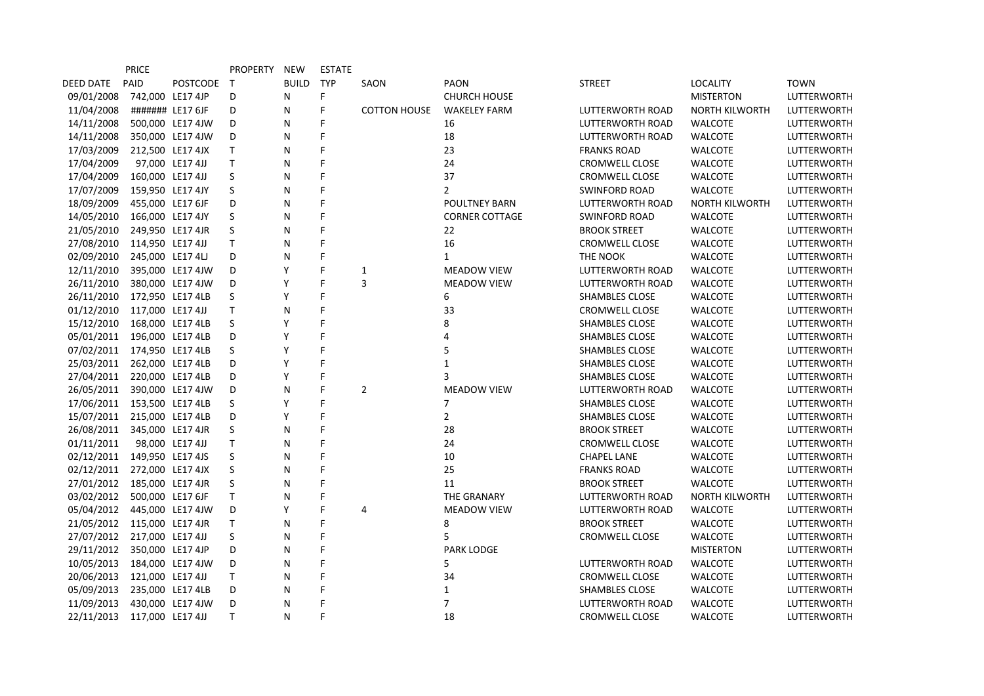|                  | <b>PRICE</b>     |                  | <b>PROPERTY</b> | NEW          | <b>ESTATE</b> |                     |                       |                         |                       |                    |
|------------------|------------------|------------------|-----------------|--------------|---------------|---------------------|-----------------------|-------------------------|-----------------------|--------------------|
| <b>DEED DATE</b> | PAID             | POSTCODE T       |                 | <b>BUILD</b> | <b>TYP</b>    | SAON                | <b>PAON</b>           | <b>STREET</b>           | <b>LOCALITY</b>       | <b>TOWN</b>        |
| 09/01/2008       |                  | 742,000 LE17 4JP | D               | N            | F             |                     | <b>CHURCH HOUSE</b>   |                         | <b>MISTERTON</b>      | LUTTERWORTH        |
| 11/04/2008       |                  | ####### LE17 6JF | D               | N            | F             | <b>COTTON HOUSE</b> | <b>WAKELEY FARM</b>   | LUTTERWORTH ROAD        | <b>NORTH KILWORTH</b> | LUTTERWORTH        |
| 14/11/2008       |                  | 500,000 LE17 4JW | D               | N            | F             |                     | 16                    | LUTTERWORTH ROAD        | <b>WALCOTE</b>        | LUTTERWORTH        |
| 14/11/2008       |                  | 350,000 LE17 4JW | D               | N            | F             |                     | 18                    | <b>LUTTERWORTH ROAD</b> | <b>WALCOTE</b>        | LUTTERWORTH        |
| 17/03/2009       |                  | 212,500 LE17 4JX | T               | N            | F             |                     | 23                    | <b>FRANKS ROAD</b>      | <b>WALCOTE</b>        | LUTTERWORTH        |
| 17/04/2009       |                  | 97,000 LE17 4JJ  | T               | N            | F             |                     | 24                    | <b>CROMWELL CLOSE</b>   | <b>WALCOTE</b>        | LUTTERWORTH        |
| 17/04/2009       | 160,000 LE17 4JJ |                  | $\sf S$         | N            | F             |                     | 37                    | <b>CROMWELL CLOSE</b>   | <b>WALCOTE</b>        | LUTTERWORTH        |
| 17/07/2009       |                  | 159,950 LE17 4JY | S               | N            | F             |                     | $\overline{2}$        | <b>SWINFORD ROAD</b>    | <b>WALCOTE</b>        | LUTTERWORTH        |
| 18/09/2009       |                  | 455,000 LE17 6JF | D               | N            | F             |                     | <b>POULTNEY BARN</b>  | <b>LUTTERWORTH ROAD</b> | <b>NORTH KILWORTH</b> | <b>LUTTERWORTH</b> |
| 14/05/2010       |                  | 166,000 LE17 4JY | S               | N            | F             |                     | <b>CORNER COTTAGE</b> | <b>SWINFORD ROAD</b>    | <b>WALCOTE</b>        | LUTTERWORTH        |
| 21/05/2010       |                  | 249,950 LE17 4JR | S               | N            | F             |                     | 22                    | <b>BROOK STREET</b>     | <b>WALCOTE</b>        | LUTTERWORTH        |
| 27/08/2010       | 114,950 LE17 4JJ |                  | T               | N            | F             |                     | 16                    | <b>CROMWELL CLOSE</b>   | <b>WALCOTE</b>        | LUTTERWORTH        |
| 02/09/2010       |                  | 245,000 LE17 4LJ | D               | N            | F             |                     | $\mathbf{1}$          | THE NOOK                | <b>WALCOTE</b>        | LUTTERWORTH        |
| 12/11/2010       |                  | 395,000 LE17 4JW | D               | Υ            | F             | 1                   | <b>MEADOW VIEW</b>    | LUTTERWORTH ROAD        | <b>WALCOTE</b>        | LUTTERWORTH        |
| 26/11/2010       |                  | 380,000 LE17 4JW | D               | Υ            | F             | 3                   | <b>MEADOW VIEW</b>    | <b>LUTTERWORTH ROAD</b> | <b>WALCOTE</b>        | <b>LUTTERWORTH</b> |
| 26/11/2010       |                  | 172,950 LE17 4LB | S               | Y            | F             |                     | 6                     | <b>SHAMBLES CLOSE</b>   | <b>WALCOTE</b>        | LUTTERWORTH        |
| 01/12/2010       | 117,000 LE17 4JJ |                  | T               | N            | Ë             |                     | 33                    | <b>CROMWELL CLOSE</b>   | <b>WALCOTE</b>        | LUTTERWORTH        |
| 15/12/2010       |                  | 168,000 LE17 4LB | S               | Y            | F             |                     | 8                     | <b>SHAMBLES CLOSE</b>   | <b>WALCOTE</b>        | LUTTERWORTH        |
| 05/01/2011       |                  | 196,000 LE17 4LB | D               | Υ            | F             |                     | 4                     | <b>SHAMBLES CLOSE</b>   | <b>WALCOTE</b>        | <b>LUTTERWORTH</b> |
| 07/02/2011       |                  | 174,950 LE17 4LB | S               | Y            | F             |                     | 5                     | <b>SHAMBLES CLOSE</b>   | <b>WALCOTE</b>        | LUTTERWORTH        |
| 25/03/2011       |                  | 262,000 LE17 4LB | D               | Υ            | F             |                     | $\mathbf{1}$          | <b>SHAMBLES CLOSE</b>   | <b>WALCOTE</b>        | LUTTERWORTH        |
| 27/04/2011       |                  | 220,000 LE17 4LB | D               | Υ            | F             |                     | 3                     | <b>SHAMBLES CLOSE</b>   | <b>WALCOTE</b>        | LUTTERWORTH        |
| 26/05/2011       |                  | 390,000 LE17 4JW | D               | N            | F             | $\overline{2}$      | <b>MEADOW VIEW</b>    | <b>LUTTERWORTH ROAD</b> | <b>WALCOTE</b>        | LUTTERWORTH        |
| 17/06/2011       |                  | 153,500 LE17 4LB | S               | Υ            | F             |                     | 7                     | <b>SHAMBLES CLOSE</b>   | <b>WALCOTE</b>        | LUTTERWORTH        |
| 15/07/2011       |                  | 215,000 LE17 4LB | D               | Y            | F             |                     | $\overline{2}$        | SHAMBLES CLOSE          | <b>WALCOTE</b>        | LUTTERWORTH        |
| 26/08/2011       |                  | 345,000 LE17 4JR | S               | N            | F             |                     | 28                    | <b>BROOK STREET</b>     | <b>WALCOTE</b>        | LUTTERWORTH        |
| 01/11/2011       |                  | 98,000 LE17 4JJ  | T               | N            | F             |                     | 24                    | <b>CROMWELL CLOSE</b>   | <b>WALCOTE</b>        | LUTTERWORTH        |
| 02/12/2011       |                  | 149,950 LE17 4JS | S               | N            | F             |                     | 10                    | <b>CHAPEL LANE</b>      | <b>WALCOTE</b>        | LUTTERWORTH        |
| 02/12/2011       |                  | 272,000 LE17 4JX | S               | N            | F             |                     | 25                    | <b>FRANKS ROAD</b>      | <b>WALCOTE</b>        | LUTTERWORTH        |
| 27/01/2012       |                  | 185,000 LE17 4JR | S               | N            | F             |                     | 11                    | <b>BROOK STREET</b>     | <b>WALCOTE</b>        | LUTTERWORTH        |
| 03/02/2012       |                  | 500,000 LE17 6JF | T               | N            | F             |                     | THE GRANARY           | LUTTERWORTH ROAD        | <b>NORTH KILWORTH</b> | LUTTERWORTH        |
| 05/04/2012       |                  | 445,000 LE17 4JW | D               | Y            | F             | 4                   | <b>MEADOW VIEW</b>    | <b>LUTTERWORTH ROAD</b> | <b>WALCOTE</b>        | LUTTERWORTH        |
| 21/05/2012       |                  | 115,000 LE17 4JR | T.              | N            | F             |                     | 8                     | <b>BROOK STREET</b>     | <b>WALCOTE</b>        | LUTTERWORTH        |
| 27/07/2012       | 217,000 LE17 4JJ |                  | S               | N            | F             |                     | 5                     | CROMWELL CLOSE          | <b>WALCOTE</b>        | LUTTERWORTH        |
| 29/11/2012       |                  | 350,000 LE17 4JP | D               | N            | F             |                     | <b>PARK LODGE</b>     |                         | <b>MISTERTON</b>      | LUTTERWORTH        |
| 10/05/2013       |                  | 184,000 LE17 4JW | D               | N            | F             |                     | 5                     | <b>LUTTERWORTH ROAD</b> | <b>WALCOTE</b>        | LUTTERWORTH        |
| 20/06/2013       | 121,000 LE17 4JJ |                  | T               | N            | F             |                     | 34                    | CROMWELL CLOSE          | <b>WALCOTE</b>        | LUTTERWORTH        |
| 05/09/2013       |                  | 235,000 LE17 4LB | D               | N            | F             |                     | $\mathbf{1}$          | <b>SHAMBLES CLOSE</b>   | <b>WALCOTE</b>        | <b>LUTTERWORTH</b> |
| 11/09/2013       |                  | 430,000 LE17 4JW | D               | N            | F             |                     | $\overline{7}$        | LUTTERWORTH ROAD        | <b>WALCOTE</b>        | LUTTERWORTH        |
| 22/11/2013       | 117,000 LE17 4JJ |                  | T.              | N            | F             |                     | 18                    | <b>CROMWELL CLOSE</b>   | <b>WALCOTE</b>        | <b>LUTTERWORTH</b> |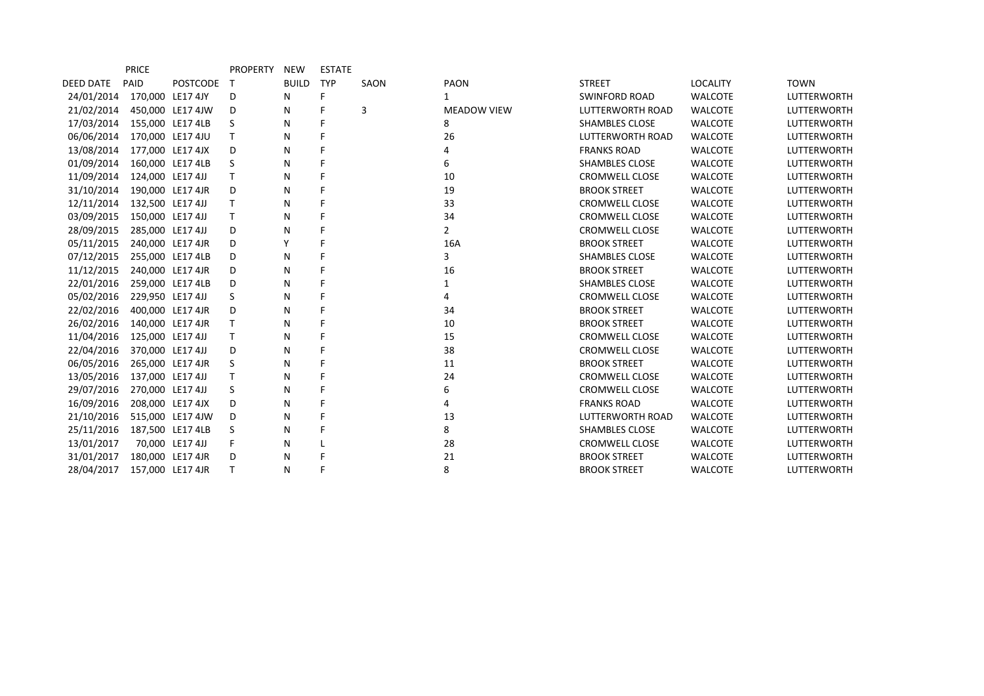|                  | <b>PRICE</b>     |                  | <b>PROPERTY</b> | NEW          | <b>ESTATE</b> |      |                    |                         |                 |                    |
|------------------|------------------|------------------|-----------------|--------------|---------------|------|--------------------|-------------------------|-----------------|--------------------|
| <b>DEED DATE</b> | PAID             | <b>POSTCODE</b>  | T               | <b>BUILD</b> | TYP           | SAON | <b>PAON</b>        | <b>STREET</b>           | <b>LOCALITY</b> | <b>TOWN</b>        |
| 24/01/2014       |                  | 170,000 LE17 4JY | D               | N            | F.            |      |                    | <b>SWINFORD ROAD</b>    | <b>WALCOTE</b>  | <b>LUTTERWORTH</b> |
| 21/02/2014       |                  | 450,000 LE17 4JW | D               | N            | F             | 3    | <b>MEADOW VIEW</b> | LUTTERWORTH ROAD        | <b>WALCOTE</b>  | LUTTERWORTH        |
| 17/03/2014       |                  | 155,000 LE17 4LB | S               | N            | F             |      | 8                  | <b>SHAMBLES CLOSE</b>   | <b>WALCOTE</b>  | <b>LUTTERWORTH</b> |
| 06/06/2014       |                  | 170,000 LE17 4JU | Τ               | N            | F             |      | 26                 | <b>LUTTERWORTH ROAD</b> | <b>WALCOTE</b>  | LUTTERWORTH        |
| 13/08/2014       |                  | 177,000 LE17 4JX | D               | N            | F             |      | 4                  | <b>FRANKS ROAD</b>      | <b>WALCOTE</b>  | <b>LUTTERWORTH</b> |
| 01/09/2014       |                  | 160,000 LE17 4LB | S               | N            | F             |      | 6                  | <b>SHAMBLES CLOSE</b>   | <b>WALCOTE</b>  | LUTTERWORTH        |
| 11/09/2014       | 124,000 LE17 4JJ |                  | T.              | N            | F             |      | 10                 | <b>CROMWELL CLOSE</b>   | <b>WALCOTE</b>  | LUTTERWORTH        |
| 31/10/2014       |                  | 190,000 LE17 4JR | D               | N            | F             |      | 19                 | <b>BROOK STREET</b>     | <b>WALCOTE</b>  | LUTTERWORTH        |
| 12/11/2014       | 132,500 LE17 4JJ |                  | Τ               | N            | F             |      | 33                 | <b>CROMWELL CLOSE</b>   | <b>WALCOTE</b>  | LUTTERWORTH        |
| 03/09/2015       | 150,000 LE17 4JJ |                  | Τ               | N            | F             |      | 34                 | <b>CROMWELL CLOSE</b>   | <b>WALCOTE</b>  | LUTTERWORTH        |
| 28/09/2015       | 285,000 LE17 4JJ |                  | D               | N            |               |      | $\overline{2}$     | <b>CROMWELL CLOSE</b>   | <b>WALCOTE</b>  | LUTTERWORTH        |
| 05/11/2015       |                  | 240,000 LE17 4JR | D               | Υ            | F             |      | 16A                | <b>BROOK STREET</b>     | <b>WALCOTE</b>  | LUTTERWORTH        |
| 07/12/2015       |                  | 255,000 LE17 4LB | D               | N            | F             |      | 3                  | <b>SHAMBLES CLOSE</b>   | <b>WALCOTE</b>  | LUTTERWORTH        |
| 11/12/2015       |                  | 240,000 LE17 4JR | D               | N            | F             |      | 16                 | <b>BROOK STREET</b>     | <b>WALCOTE</b>  | <b>LUTTERWORTH</b> |
| 22/01/2016       |                  | 259,000 LE17 4LB | D               | N            | F             |      | 1                  | <b>SHAMBLES CLOSE</b>   | <b>WALCOTE</b>  | <b>LUTTERWORTH</b> |
| 05/02/2016       | 229,950 LE17 4JJ |                  | S               | N            |               |      | 4                  | <b>CROMWELL CLOSE</b>   | <b>WALCOTE</b>  | LUTTERWORTH        |
| 22/02/2016       |                  | 400,000 LE17 4JR | D               | N            | F             |      | 34                 | <b>BROOK STREET</b>     | <b>WALCOTE</b>  | <b>LUTTERWORTH</b> |
| 26/02/2016       |                  | 140,000 LE17 4JR | Τ               | N            | F             |      | 10                 | <b>BROOK STREET</b>     | <b>WALCOTE</b>  | LUTTERWORTH        |
| 11/04/2016       | 125,000 LE17 4JJ |                  | T               | N            | F             |      | 15                 | <b>CROMWELL CLOSE</b>   | <b>WALCOTE</b>  | <b>LUTTERWORTH</b> |
| 22/04/2016       | 370,000 LE17 4JJ |                  | D               | N            | F             |      | 38                 | <b>CROMWELL CLOSE</b>   | <b>WALCOTE</b>  | LUTTERWORTH        |
| 06/05/2016       |                  | 265,000 LE17 4JR | S               | N            | F             |      | 11                 | <b>BROOK STREET</b>     | <b>WALCOTE</b>  | LUTTERWORTH        |
| 13/05/2016       | 137,000 LE17 4JJ |                  | Τ               | N            | F             |      | 24                 | <b>CROMWELL CLOSE</b>   | <b>WALCOTE</b>  | LUTTERWORTH        |
| 29/07/2016       | 270,000 LE17 4JJ |                  | S               | N            | F             |      | 6                  | <b>CROMWELL CLOSE</b>   | <b>WALCOTE</b>  | <b>LUTTERWORTH</b> |
| 16/09/2016       |                  | 208,000 LE17 4JX | D               | N            | F             |      | 4                  | <b>FRANKS ROAD</b>      | <b>WALCOTE</b>  | LUTTERWORTH        |
| 21/10/2016       |                  | 515,000 LE17 4JW | D               | N            | F             |      | 13                 | <b>LUTTERWORTH ROAD</b> | <b>WALCOTE</b>  | LUTTERWORTH        |
| 25/11/2016       |                  | 187,500 LE17 4LB | S               | N            | F             |      | 8                  | <b>SHAMBLES CLOSE</b>   | <b>WALCOTE</b>  | LUTTERWORTH        |
| 13/01/2017       |                  | 70,000 LE17 4JJ  | F               | N            |               |      | 28                 | <b>CROMWELL CLOSE</b>   | <b>WALCOTE</b>  | LUTTERWORTH        |
| 31/01/2017       |                  | 180,000 LE17 4JR | D               | N            |               |      | 21                 | <b>BROOK STREET</b>     | <b>WALCOTE</b>  | <b>LUTTERWORTH</b> |
| 28/04/2017       |                  | 157,000 LE17 4JR | T.              | N            | F             |      | 8                  | <b>BROOK STREET</b>     | <b>WALCOTE</b>  | <b>LUTTERWORTH</b> |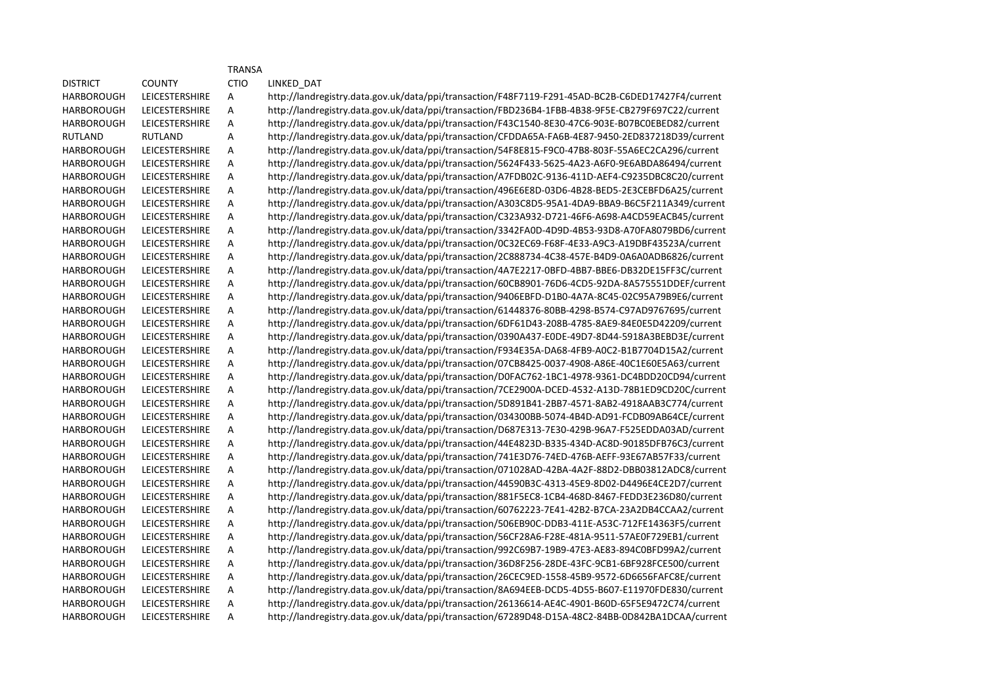|                   |                       | <b>TRANSA</b> |                                                                                                   |
|-------------------|-----------------------|---------------|---------------------------------------------------------------------------------------------------|
| <b>DISTRICT</b>   | <b>COUNTY</b>         | <b>CTIO</b>   | LINKED_DAT                                                                                        |
| <b>HARBOROUGH</b> | LEICESTERSHIRE        | Α             | http://landregistry.data.gov.uk/data/ppi/transaction/F48F7119-F291-45AD-BC2B-C6DED17427F4/current |
| <b>HARBOROUGH</b> | LEICESTERSHIRE        | Α             | http://landregistry.data.gov.uk/data/ppi/transaction/FBD236B4-1FBB-4B38-9F5E-CB279F697C22/current |
| <b>HARBOROUGH</b> | LEICESTERSHIRE        | А             | http://landregistry.data.gov.uk/data/ppi/transaction/F43C1540-8E30-47C6-903E-B07BC0EBED82/current |
| <b>RUTLAND</b>    | <b>RUTLAND</b>        | А             | http://landregistry.data.gov.uk/data/ppi/transaction/CFDDA65A-FA6B-4E87-9450-2ED837218D39/current |
| <b>HARBOROUGH</b> | LEICESTERSHIRE        | Α             | http://landregistry.data.gov.uk/data/ppi/transaction/54F8E815-F9C0-47B8-803F-55A6EC2CA296/current |
| <b>HARBOROUGH</b> | LEICESTERSHIRE        | А             | http://landregistry.data.gov.uk/data/ppi/transaction/5624F433-5625-4A23-A6F0-9E6ABDA86494/current |
| <b>HARBOROUGH</b> | LEICESTERSHIRE        | Α             | http://landregistry.data.gov.uk/data/ppi/transaction/A7FDB02C-9136-411D-AEF4-C9235DBC8C20/current |
| <b>HARBOROUGH</b> | LEICESTERSHIRE        | Α             | http://landregistry.data.gov.uk/data/ppi/transaction/496E6E8D-03D6-4B28-BED5-2E3CEBFD6A25/current |
| <b>HARBOROUGH</b> | LEICESTERSHIRE        | Α             | http://landregistry.data.gov.uk/data/ppi/transaction/A303C8D5-95A1-4DA9-BBA9-B6C5F211A349/current |
| <b>HARBOROUGH</b> | <b>LEICESTERSHIRE</b> | А             | http://landregistry.data.gov.uk/data/ppi/transaction/C323A932-D721-46F6-A698-A4CD59EACB45/current |
| <b>HARBOROUGH</b> | LEICESTERSHIRE        | Α             | http://landregistry.data.gov.uk/data/ppi/transaction/3342FA0D-4D9D-4B53-93D8-A70FA8079BD6/current |
| <b>HARBOROUGH</b> | <b>LEICESTERSHIRE</b> | Α             | http://landregistry.data.gov.uk/data/ppi/transaction/0C32EC69-F68F-4E33-A9C3-A19DBF43523A/current |
| <b>HARBOROUGH</b> | <b>LEICESTERSHIRE</b> | A             | http://landregistry.data.gov.uk/data/ppi/transaction/2C888734-4C38-457E-B4D9-0A6A0ADB6826/current |
| <b>HARBOROUGH</b> | LEICESTERSHIRE        | Α             | http://landregistry.data.gov.uk/data/ppi/transaction/4A7E2217-0BFD-4BB7-BBE6-DB32DE15FF3C/current |
| <b>HARBOROUGH</b> | LEICESTERSHIRE        | А             | http://landregistry.data.gov.uk/data/ppi/transaction/60CB8901-76D6-4CD5-92DA-8A575551DDEF/current |
| <b>HARBOROUGH</b> | LEICESTERSHIRE        | Α             | http://landregistry.data.gov.uk/data/ppi/transaction/9406EBFD-D1B0-4A7A-8C45-02C95A79B9E6/current |
| <b>HARBOROUGH</b> | LEICESTERSHIRE        | Α             | http://landregistry.data.gov.uk/data/ppi/transaction/61448376-80BB-4298-B574-C97AD9767695/current |
| <b>HARBOROUGH</b> | LEICESTERSHIRE        | А             | http://landregistry.data.gov.uk/data/ppi/transaction/6DF61D43-208B-4785-8AE9-84E0E5D42209/current |
| <b>HARBOROUGH</b> | <b>LEICESTERSHIRE</b> | А             | http://landregistry.data.gov.uk/data/ppi/transaction/0390A437-E0DE-49D7-8D44-5918A3BEBD3E/current |
| <b>HARBOROUGH</b> | LEICESTERSHIRE        | Α             | http://landregistry.data.gov.uk/data/ppi/transaction/F934E35A-DA68-4FB9-A0C2-B1B7704D15A2/current |
| <b>HARBOROUGH</b> | LEICESTERSHIRE        | Α             | http://landregistry.data.gov.uk/data/ppi/transaction/07CB8425-0037-4908-A86E-40C1E60E5A63/current |
| <b>HARBOROUGH</b> | LEICESTERSHIRE        | А             | http://landregistry.data.gov.uk/data/ppi/transaction/D0FAC762-1BC1-4978-9361-DC4BDD20CD94/current |
| <b>HARBOROUGH</b> | <b>LEICESTERSHIRE</b> | Α             | http://landregistry.data.gov.uk/data/ppi/transaction/7CE2900A-DCED-4532-A13D-78B1ED9CD20C/current |
| <b>HARBOROUGH</b> | <b>LEICESTERSHIRE</b> | А             | http://landregistry.data.gov.uk/data/ppi/transaction/5D891B41-2BB7-4571-8AB2-4918AAB3C774/current |
| <b>HARBOROUGH</b> | <b>LEICESTERSHIRE</b> | Α             | http://landregistry.data.gov.uk/data/ppi/transaction/034300BB-5074-4B4D-AD91-FCDB09AB64CE/current |
| <b>HARBOROUGH</b> | LEICESTERSHIRE        | A             | http://landregistry.data.gov.uk/data/ppi/transaction/D687E313-7E30-429B-96A7-F525EDDA03AD/current |
| <b>HARBOROUGH</b> | LEICESTERSHIRE        | А             | http://landregistry.data.gov.uk/data/ppi/transaction/44E4823D-B335-434D-AC8D-90185DFB76C3/current |
| <b>HARBOROUGH</b> | LEICESTERSHIRE        | А             | http://landregistry.data.gov.uk/data/ppi/transaction/741E3D76-74ED-476B-AEFF-93E67AB57F33/current |
| HARBOROUGH        | LEICESTERSHIRE        | Α             | http://landregistry.data.gov.uk/data/ppi/transaction/071028AD-42BA-4A2F-88D2-DBB03812ADC8/current |
| <b>HARBOROUGH</b> | LEICESTERSHIRE        | Α             | http://landregistry.data.gov.uk/data/ppi/transaction/44590B3C-4313-45E9-8D02-D4496E4CE2D7/current |
| <b>HARBOROUGH</b> | LEICESTERSHIRE        | Α             | http://landregistry.data.gov.uk/data/ppi/transaction/881F5EC8-1CB4-468D-8467-FEDD3E236D80/current |
| <b>HARBOROUGH</b> | LEICESTERSHIRE        | Α             | http://landregistry.data.gov.uk/data/ppi/transaction/60762223-7E41-42B2-B7CA-23A2DB4CCAA2/current |
| <b>HARBOROUGH</b> | LEICESTERSHIRE        | Α             | http://landregistry.data.gov.uk/data/ppi/transaction/506EB90C-DDB3-411E-A53C-712FE14363F5/current |
| <b>HARBOROUGH</b> | <b>LEICESTERSHIRE</b> | Α             | http://landregistry.data.gov.uk/data/ppi/transaction/56CF28A6-F28E-481A-9511-57AE0F729EB1/current |
| <b>HARBOROUGH</b> | <b>LEICESTERSHIRE</b> | A             | http://landregistry.data.gov.uk/data/ppi/transaction/992C69B7-19B9-47E3-AE83-894C0BFD99A2/current |
| <b>HARBOROUGH</b> | <b>LEICESTERSHIRE</b> | Α             | http://landregistry.data.gov.uk/data/ppi/transaction/36D8F256-28DE-43FC-9CB1-6BF928FCE500/current |
| <b>HARBOROUGH</b> | <b>LEICESTERSHIRE</b> | Α             | http://landregistry.data.gov.uk/data/ppi/transaction/26CEC9ED-1558-45B9-9572-6D6656FAFC8E/current |
| <b>HARBOROUGH</b> | <b>LEICESTERSHIRE</b> | А             | http://landregistry.data.gov.uk/data/ppi/transaction/8A694EEB-DCD5-4D55-B607-E11970FDE830/current |
| <b>HARBOROUGH</b> | <b>LEICESTERSHIRE</b> | А             | http://landregistry.data.gov.uk/data/ppi/transaction/26136614-AE4C-4901-B60D-65F5E9472C74/current |
| <b>HARBOROUGH</b> | LEICESTERSHIRE        | А             | http://landregistry.data.gov.uk/data/ppi/transaction/67289D48-D15A-48C2-84BB-0D842BA1DCAA/current |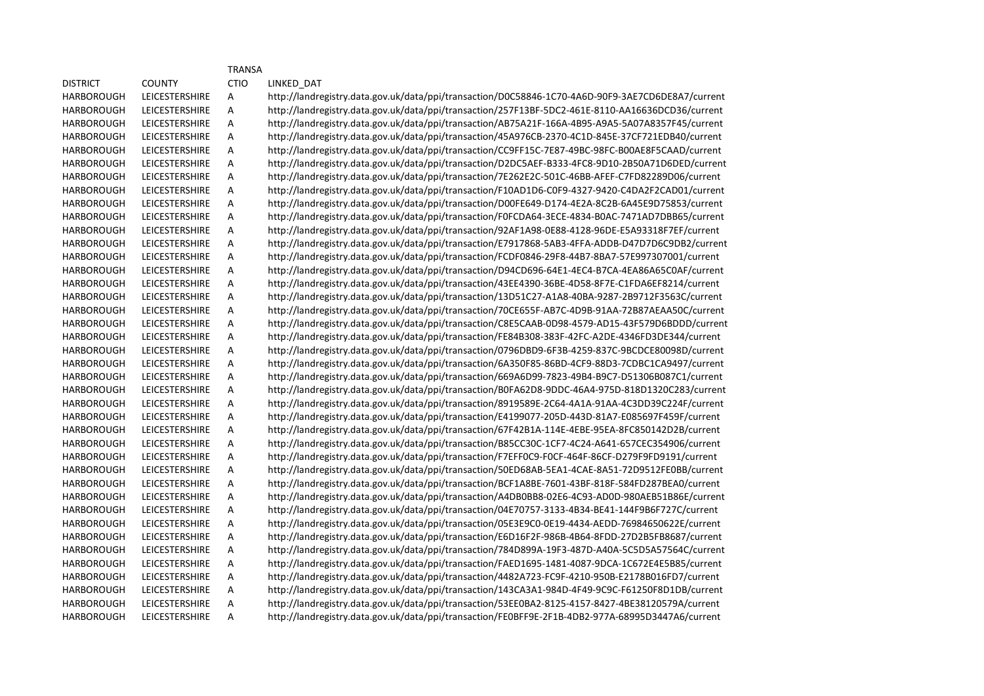|                   |                       | <b>TRANSA</b> |                                                                                                   |
|-------------------|-----------------------|---------------|---------------------------------------------------------------------------------------------------|
| <b>DISTRICT</b>   | <b>COUNTY</b>         | <b>CTIO</b>   | LINKED_DAT                                                                                        |
| <b>HARBOROUGH</b> | <b>LEICESTERSHIRE</b> | А             | http://landregistry.data.gov.uk/data/ppi/transaction/D0C58846-1C70-4A6D-90F9-3AE7CD6DE8A7/current |
| HARBOROUGH        | <b>LEICESTERSHIRE</b> | А             | http://landregistry.data.gov.uk/data/ppi/transaction/257F13BF-5DC2-461E-8110-AA16636DCD36/current |
| <b>HARBOROUGH</b> | <b>LEICESTERSHIRE</b> | A             | http://landregistry.data.gov.uk/data/ppi/transaction/AB75A21F-166A-4B95-A9A5-5A07A8357F45/current |
| <b>HARBOROUGH</b> | <b>LEICESTERSHIRE</b> | A             | http://landregistry.data.gov.uk/data/ppi/transaction/45A976CB-2370-4C1D-845E-37CF721EDB40/current |
| HARBOROUGH        | LEICESTERSHIRE        | A             | http://landregistry.data.gov.uk/data/ppi/transaction/CC9FF15C-7E87-49BC-98FC-B00AE8F5CAAD/current |
| HARBOROUGH        | LEICESTERSHIRE        | A             | http://landregistry.data.gov.uk/data/ppi/transaction/D2DC5AEF-B333-4FC8-9D10-2B50A71D6DED/current |
| HARBOROUGH        | LEICESTERSHIRE        | A             | http://landregistry.data.gov.uk/data/ppi/transaction/7E262E2C-501C-46BB-AFEF-C7FD82289D06/current |
| HARBOROUGH        | LEICESTERSHIRE        | A             | http://landregistry.data.gov.uk/data/ppi/transaction/F10AD1D6-C0F9-4327-9420-C4DA2F2CAD01/current |
| HARBOROUGH        | LEICESTERSHIRE        | Α             | http://landregistry.data.gov.uk/data/ppi/transaction/D00FE649-D174-4E2A-8C2B-6A45E9D75853/current |
| HARBOROUGH        | <b>LEICESTERSHIRE</b> | А             | http://landregistry.data.gov.uk/data/ppi/transaction/F0FCDA64-3ECE-4834-B0AC-7471AD7DBB65/current |
| HARBOROUGH        | <b>LEICESTERSHIRE</b> | А             | http://landregistry.data.gov.uk/data/ppi/transaction/92AF1A98-0E88-4128-96DE-E5A93318F7EF/current |
| HARBOROUGH        | <b>LEICESTERSHIRE</b> | А             | http://landregistry.data.gov.uk/data/ppi/transaction/E7917868-5AB3-4FFA-ADDB-D47D7D6C9DB2/current |
| HARBOROUGH        | <b>LEICESTERSHIRE</b> | Α             | http://landregistry.data.gov.uk/data/ppi/transaction/FCDF0846-29F8-44B7-8BA7-57E997307001/current |
| HARBOROUGH        | LEICESTERSHIRE        | А             | http://landregistry.data.gov.uk/data/ppi/transaction/D94CD696-64E1-4EC4-B7CA-4EA86A65C0AF/current |
| HARBOROUGH        | LEICESTERSHIRE        | А             | http://landregistry.data.gov.uk/data/ppi/transaction/43EE4390-36BE-4D58-8F7E-C1FDA6EF8214/current |
| HARBOROUGH        | <b>LEICESTERSHIRE</b> | А             | http://landregistry.data.gov.uk/data/ppi/transaction/13D51C27-A1A8-40BA-9287-2B9712F3563C/current |
| HARBOROUGH        | <b>LEICESTERSHIRE</b> | Α             | http://landregistry.data.gov.uk/data/ppi/transaction/70CE655F-AB7C-4D9B-91AA-72B87AEAA50C/current |
| HARBOROUGH        | <b>LEICESTERSHIRE</b> | Α             | http://landregistry.data.gov.uk/data/ppi/transaction/C8E5CAAB-0D98-4579-AD15-43F579D6BDDD/current |
| HARBOROUGH        | <b>LEICESTERSHIRE</b> | А             | http://landregistry.data.gov.uk/data/ppi/transaction/FE84B308-383F-42FC-A2DE-4346FD3DE344/current |
| HARBOROUGH        | LEICESTERSHIRE        | Α             | http://landregistry.data.gov.uk/data/ppi/transaction/0796DBD9-6F3B-4259-837C-9BCDCE80098D/current |
| HARBOROUGH        | <b>LEICESTERSHIRE</b> | А             | http://landregistry.data.gov.uk/data/ppi/transaction/6A350F85-86BD-4CF9-88D3-7CDBC1CA9497/current |
| HARBOROUGH        | <b>LEICESTERSHIRE</b> | Α             | http://landregistry.data.gov.uk/data/ppi/transaction/669A6D99-7823-49B4-B9C7-D51306B087C1/current |
| <b>HARBOROUGH</b> | <b>LEICESTERSHIRE</b> | А             | http://landregistry.data.gov.uk/data/ppi/transaction/B0FA62D8-9DDC-46A4-975D-818D1320C283/current |
| <b>HARBOROUGH</b> | <b>LEICESTERSHIRE</b> | Α             | http://landregistry.data.gov.uk/data/ppi/transaction/8919589E-2C64-4A1A-91AA-4C3DD39C224F/current |
| <b>HARBOROUGH</b> | LEICESTERSHIRE        | Α             | http://landregistry.data.gov.uk/data/ppi/transaction/E4199077-205D-443D-81A7-E085697F459F/current |
| <b>HARBOROUGH</b> | <b>LEICESTERSHIRE</b> | A             | http://landregistry.data.gov.uk/data/ppi/transaction/67F42B1A-114E-4EBE-95EA-8FC850142D2B/current |
| <b>HARBOROUGH</b> | <b>LEICESTERSHIRE</b> | Α             | http://landregistry.data.gov.uk/data/ppi/transaction/B85CC30C-1CF7-4C24-A641-657CEC354906/current |
| HARBOROUGH        | <b>LEICESTERSHIRE</b> | Α             | http://landregistry.data.gov.uk/data/ppi/transaction/F7EFF0C9-F0CF-464F-86CF-D279F9FD9191/current |
| <b>HARBOROUGH</b> | <b>LEICESTERSHIRE</b> | Α             | http://landregistry.data.gov.uk/data/ppi/transaction/50ED68AB-5EA1-4CAE-8A51-72D9512FE0BB/current |
| <b>HARBOROUGH</b> | <b>LEICESTERSHIRE</b> | Α             | http://landregistry.data.gov.uk/data/ppi/transaction/BCF1A8BE-7601-43BF-818F-584FD287BEA0/current |
| <b>HARBOROUGH</b> | <b>LEICESTERSHIRE</b> | A             | http://landregistry.data.gov.uk/data/ppi/transaction/A4DB0BB8-02E6-4C93-AD0D-980AEB51B86E/current |
| <b>HARBOROUGH</b> | <b>LEICESTERSHIRE</b> | A             | http://landregistry.data.gov.uk/data/ppi/transaction/04E70757-3133-4B34-BE41-144F9B6F727C/current |
| <b>HARBOROUGH</b> | LEICESTERSHIRE        | Α             | http://landregistry.data.gov.uk/data/ppi/transaction/05E3E9C0-0E19-4434-AEDD-76984650622E/current |
| <b>HARBOROUGH</b> | LEICESTERSHIRE        | A             | http://landregistry.data.gov.uk/data/ppi/transaction/E6D16F2F-986B-4B64-8FDD-27D2B5FB8687/current |
| <b>HARBOROUGH</b> | LEICESTERSHIRE        | A             | http://landregistry.data.gov.uk/data/ppi/transaction/784D899A-19F3-487D-A40A-5C5D5A57564C/current |
| <b>HARBOROUGH</b> | LEICESTERSHIRE        | A             | http://landregistry.data.gov.uk/data/ppi/transaction/FAED1695-1481-4087-9DCA-1C672E4E5B85/current |
| <b>HARBOROUGH</b> | LEICESTERSHIRE        | A             | http://landregistry.data.gov.uk/data/ppi/transaction/4482A723-FC9F-4210-950B-E2178B016FD7/current |
| HARBOROUGH        | LEICESTERSHIRE        | A             | http://landregistry.data.gov.uk/data/ppi/transaction/143CA3A1-984D-4F49-9C9C-F61250F8D1DB/current |
| HARBOROUGH        | LEICESTERSHIRE        | A             | http://landregistry.data.gov.uk/data/ppi/transaction/53EE0BA2-8125-4157-8427-4BE38120579A/current |
| <b>HARBOROUGH</b> | LEICESTERSHIRE        | A             | http://landregistry.data.gov.uk/data/ppi/transaction/FE0BFF9E-2F1B-4DB2-977A-68995D3447A6/current |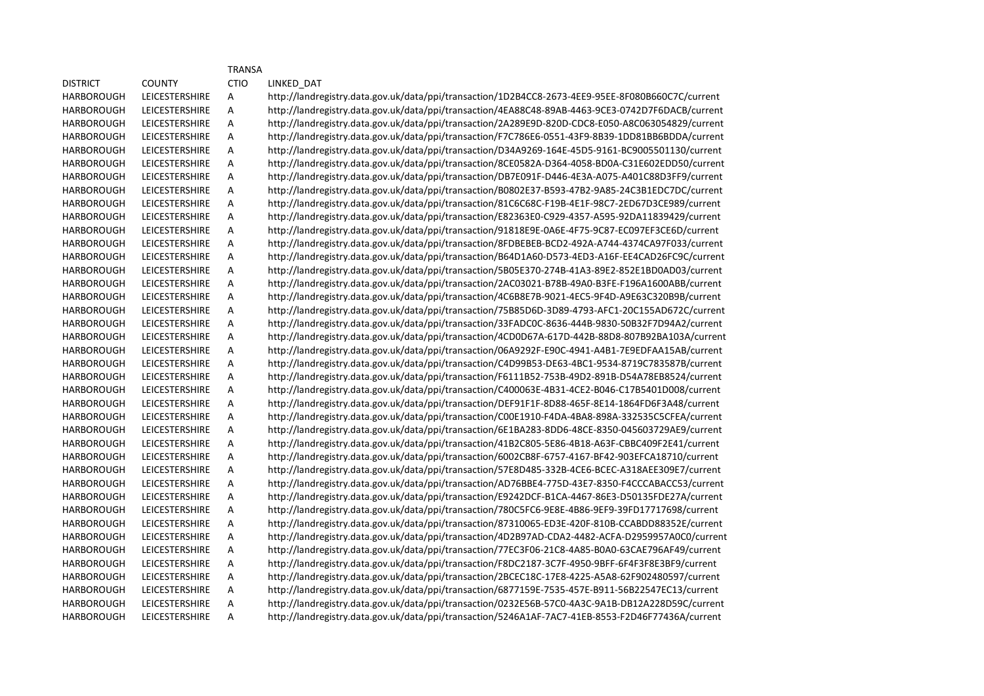|                   |                       | <b>TRANSA</b> |                                                                                                   |
|-------------------|-----------------------|---------------|---------------------------------------------------------------------------------------------------|
| <b>DISTRICT</b>   | <b>COUNTY</b>         | <b>CTIO</b>   | LINKED DAT                                                                                        |
| <b>HARBOROUGH</b> | <b>LEICESTERSHIRE</b> | Α             | http://landregistry.data.gov.uk/data/ppi/transaction/1D2B4CC8-2673-4EE9-95EE-8F080B660C7C/current |
| <b>HARBOROUGH</b> | LEICESTERSHIRE        | А             | http://landregistry.data.gov.uk/data/ppi/transaction/4EA88C48-89AB-4463-9CE3-0742D7F6DACB/current |
| <b>HARBOROUGH</b> | <b>LEICESTERSHIRE</b> | A             | http://landregistry.data.gov.uk/data/ppi/transaction/2A289E9D-820D-CDC8-E050-A8C063054829/current |
| <b>HARBOROUGH</b> | <b>LEICESTERSHIRE</b> | A             | http://landregistry.data.gov.uk/data/ppi/transaction/F7C786E6-0551-43F9-8B39-1DD81BB6BDDA/current |
| <b>HARBOROUGH</b> | LEICESTERSHIRE        | Α             | http://landregistry.data.gov.uk/data/ppi/transaction/D34A9269-164E-45D5-9161-BC9005501130/current |
| <b>HARBOROUGH</b> | LEICESTERSHIRE        | Α             | http://landregistry.data.gov.uk/data/ppi/transaction/8CE0582A-D364-4058-BD0A-C31E602EDD50/current |
| <b>HARBOROUGH</b> | LEICESTERSHIRE        | A             | http://landregistry.data.gov.uk/data/ppi/transaction/DB7E091F-D446-4E3A-A075-A401C88D3FF9/current |
| <b>HARBOROUGH</b> | LEICESTERSHIRE        | A             | http://landregistry.data.gov.uk/data/ppi/transaction/B0802E37-B593-47B2-9A85-24C3B1EDC7DC/current |
| HARBOROUGH        | LEICESTERSHIRE        | A             | http://landregistry.data.gov.uk/data/ppi/transaction/81C6C68C-F19B-4E1F-98C7-2ED67D3CE989/current |
| <b>HARBOROUGH</b> | LEICESTERSHIRE        | Α             | http://landregistry.data.gov.uk/data/ppi/transaction/E82363E0-C929-4357-A595-92DA11839429/current |
| <b>HARBOROUGH</b> | <b>LEICESTERSHIRE</b> | Α             | http://landregistry.data.gov.uk/data/ppi/transaction/91818E9E-0A6E-4F75-9C87-EC097EF3CE6D/current |
| <b>HARBOROUGH</b> | LEICESTERSHIRE        | A             | http://landregistry.data.gov.uk/data/ppi/transaction/8FDBEBEB-BCD2-492A-A744-4374CA97F033/current |
| <b>HARBOROUGH</b> | LEICESTERSHIRE        | Α             | http://landregistry.data.gov.uk/data/ppi/transaction/B64D1A60-D573-4ED3-A16F-EE4CAD26FC9C/current |
| <b>HARBOROUGH</b> | LEICESTERSHIRE        | А             | http://landregistry.data.gov.uk/data/ppi/transaction/5B05E370-274B-41A3-89E2-852E1BD0AD03/current |
| <b>HARBOROUGH</b> | LEICESTERSHIRE        | Α             | http://landregistry.data.gov.uk/data/ppi/transaction/2AC03021-B78B-49A0-B3FE-F196A1600ABB/current |
| <b>HARBOROUGH</b> | LEICESTERSHIRE        | А             | http://landregistry.data.gov.uk/data/ppi/transaction/4C6B8E7B-9021-4EC5-9F4D-A9E63C320B9B/current |
| <b>HARBOROUGH</b> | <b>LEICESTERSHIRE</b> | A             | http://landregistry.data.gov.uk/data/ppi/transaction/75B85D6D-3D89-4793-AFC1-20C155AD672C/current |
| <b>HARBOROUGH</b> | <b>LEICESTERSHIRE</b> | А             | http://landregistry.data.gov.uk/data/ppi/transaction/33FADC0C-8636-444B-9830-50B32F7D94A2/current |
| <b>HARBOROUGH</b> | <b>LEICESTERSHIRE</b> | А             | http://landregistry.data.gov.uk/data/ppi/transaction/4CD0D67A-617D-442B-88D8-807B92BA103A/current |
| <b>HARBOROUGH</b> | LEICESTERSHIRE        | Α             | http://landregistry.data.gov.uk/data/ppi/transaction/06A9292F-E90C-4941-A4B1-7E9EDFAA15AB/current |
| <b>HARBOROUGH</b> | <b>LEICESTERSHIRE</b> | A             | http://landregistry.data.gov.uk/data/ppi/transaction/C4D99B53-DE63-4BC1-9534-8719C783587B/current |
| <b>HARBOROUGH</b> | <b>LEICESTERSHIRE</b> | А             | http://landregistry.data.gov.uk/data/ppi/transaction/F6111B52-753B-49D2-891B-D54A78EB8524/current |
| <b>HARBOROUGH</b> | <b>LEICESTERSHIRE</b> | А             | http://landregistry.data.gov.uk/data/ppi/transaction/C400063E-4B31-4CE2-B046-C17B5401D008/current |
| <b>HARBOROUGH</b> | <b>LEICESTERSHIRE</b> | А             | http://landregistry.data.gov.uk/data/ppi/transaction/DEF91F1F-8D88-465F-8E14-1864FD6F3A48/current |
| <b>HARBOROUGH</b> | LEICESTERSHIRE        | Α             | http://landregistry.data.gov.uk/data/ppi/transaction/C00E1910-F4DA-4BA8-898A-332535C5CFEA/current |
| <b>HARBOROUGH</b> | <b>LEICESTERSHIRE</b> | Α             | http://landregistry.data.gov.uk/data/ppi/transaction/6E1BA283-8DD6-48CE-8350-045603729AE9/current |
| <b>HARBOROUGH</b> | <b>LEICESTERSHIRE</b> | А             | http://landregistry.data.gov.uk/data/ppi/transaction/41B2C805-5E86-4B18-A63F-CBBC409F2E41/current |
| <b>HARBOROUGH</b> | <b>LEICESTERSHIRE</b> | А             | http://landregistry.data.gov.uk/data/ppi/transaction/6002CB8F-6757-4167-BF42-903EFCA18710/current |
| <b>HARBOROUGH</b> | LEICESTERSHIRE        | Α             | http://landregistry.data.gov.uk/data/ppi/transaction/57E8D485-332B-4CE6-BCEC-A318AEE309E7/current |
| <b>HARBOROUGH</b> | <b>LEICESTERSHIRE</b> | Α             | http://landregistry.data.gov.uk/data/ppi/transaction/AD76BBE4-775D-43E7-8350-F4CCCABACC53/current |
| <b>HARBOROUGH</b> | <b>LEICESTERSHIRE</b> | A             | http://landregistry.data.gov.uk/data/ppi/transaction/E9242DCF-B1CA-4467-86E3-D50135FDE27A/current |
| <b>HARBOROUGH</b> | <b>LEICESTERSHIRE</b> | Α             | http://landregistry.data.gov.uk/data/ppi/transaction/780C5FC6-9E8E-4B86-9EF9-39FD17717698/current |
| <b>HARBOROUGH</b> | LEICESTERSHIRE        | Α             | http://landregistry.data.gov.uk/data/ppi/transaction/87310065-ED3E-420F-810B-CCABDD88352E/current |
| <b>HARBOROUGH</b> | LEICESTERSHIRE        | A             | http://landregistry.data.gov.uk/data/ppi/transaction/4D2B97AD-CDA2-4482-ACFA-D2959957A0C0/current |
| <b>HARBOROUGH</b> | LEICESTERSHIRE        | A             | http://landregistry.data.gov.uk/data/ppi/transaction/77EC3F06-21C8-4A85-B0A0-63CAE796AF49/current |
| <b>HARBOROUGH</b> | LEICESTERSHIRE        | Α             | http://landregistry.data.gov.uk/data/ppi/transaction/F8DC2187-3C7F-4950-9BFF-6F4F3F8E3BF9/current |
| <b>HARBOROUGH</b> | LEICESTERSHIRE        | Α             | http://landregistry.data.gov.uk/data/ppi/transaction/2BCEC18C-17E8-4225-A5A8-62F902480597/current |
| <b>HARBOROUGH</b> | <b>LEICESTERSHIRE</b> | А             | http://landregistry.data.gov.uk/data/ppi/transaction/6877159E-7535-457E-B911-56B22547EC13/current |
| <b>HARBOROUGH</b> | LEICESTERSHIRE        | A             | http://landregistry.data.gov.uk/data/ppi/transaction/0232E56B-57C0-4A3C-9A1B-DB12A228D59C/current |
| <b>HARBOROUGH</b> | LEICESTERSHIRE        | Α             | http://landregistry.data.gov.uk/data/ppi/transaction/5246A1AF-7AC7-41EB-8553-F2D46F77436A/current |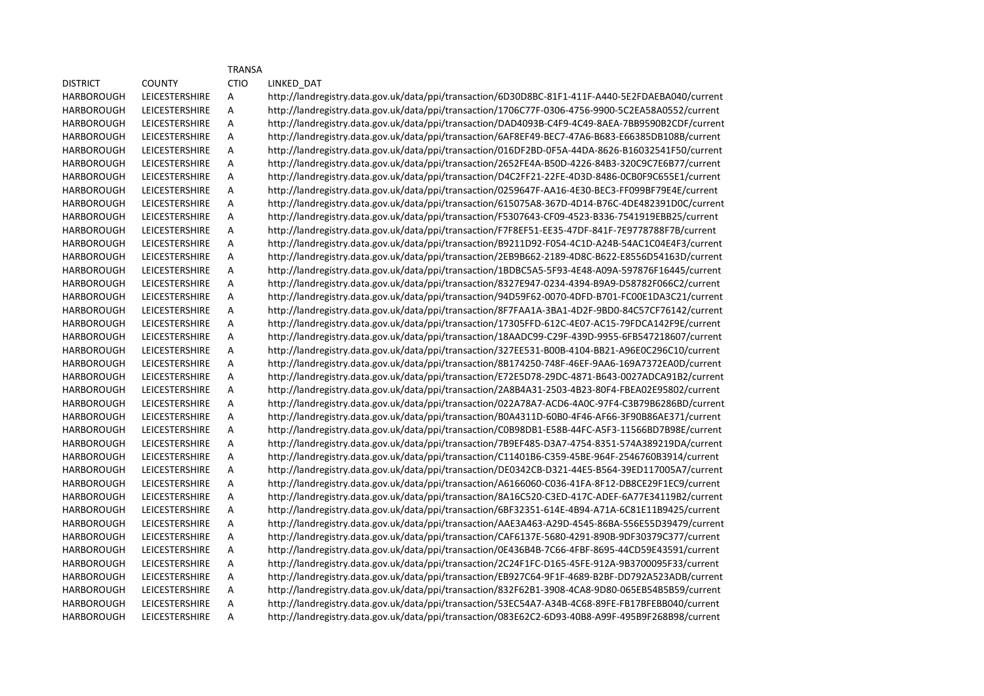|                   |                       | <b>TRANSA</b> |                                                                                                   |
|-------------------|-----------------------|---------------|---------------------------------------------------------------------------------------------------|
| <b>DISTRICT</b>   | <b>COUNTY</b>         | <b>CTIO</b>   | LINKED_DAT                                                                                        |
| HARBOROUGH        | <b>LEICESTERSHIRE</b> | А             | http://landregistry.data.gov.uk/data/ppi/transaction/6D30D8BC-81F1-411F-A440-5E2FDAEBA040/current |
| HARBOROUGH        | LEICESTERSHIRE        | А             | http://landregistry.data.gov.uk/data/ppi/transaction/1706C77F-0306-4756-9900-5C2EA58A0552/current |
| HARBOROUGH        | <b>LEICESTERSHIRE</b> | А             | http://landregistry.data.gov.uk/data/ppi/transaction/DAD4093B-C4F9-4C49-8AEA-7BB9590B2CDF/current |
| HARBOROUGH        | LEICESTERSHIRE        | А             | http://landregistry.data.gov.uk/data/ppi/transaction/6AF8EF49-BEC7-47A6-B683-E66385DB108B/current |
| HARBOROUGH        | LEICESTERSHIRE        | А             | http://landregistry.data.gov.uk/data/ppi/transaction/016DF2BD-0F5A-44DA-8626-B16032541F50/current |
| <b>HARBOROUGH</b> | LEICESTERSHIRE        | А             | http://landregistry.data.gov.uk/data/ppi/transaction/2652FE4A-B50D-4226-84B3-320C9C7E6B77/current |
| <b>HARBOROUGH</b> | <b>LEICESTERSHIRE</b> | А             | http://landregistry.data.gov.uk/data/ppi/transaction/D4C2FF21-22FE-4D3D-8486-0CB0F9C655E1/current |
| <b>HARBOROUGH</b> | <b>LEICESTERSHIRE</b> | Α             | http://landregistry.data.gov.uk/data/ppi/transaction/0259647F-AA16-4E30-BEC3-FF099BF79E4E/current |
| HARBOROUGH        | <b>LEICESTERSHIRE</b> | А             | http://landregistry.data.gov.uk/data/ppi/transaction/615075A8-367D-4D14-B76C-4DE482391D0C/current |
| <b>HARBOROUGH</b> | <b>LEICESTERSHIRE</b> | А             | http://landregistry.data.gov.uk/data/ppi/transaction/F5307643-CF09-4523-B336-7541919EBB25/current |
| HARBOROUGH        | <b>LEICESTERSHIRE</b> | А             | http://landregistry.data.gov.uk/data/ppi/transaction/F7F8EF51-EE35-47DF-841F-7E9778788F7B/current |
| HARBOROUGH        | <b>LEICESTERSHIRE</b> | А             | http://landregistry.data.gov.uk/data/ppi/transaction/B9211D92-F054-4C1D-A24B-54AC1C04E4F3/current |
| HARBOROUGH        | LEICESTERSHIRE        | А             | http://landregistry.data.gov.uk/data/ppi/transaction/2EB9B662-2189-4D8C-B622-E8556D54163D/current |
| HARBOROUGH        | <b>LEICESTERSHIRE</b> | А             | http://landregistry.data.gov.uk/data/ppi/transaction/1BDBC5A5-5F93-4E48-A09A-597876F16445/current |
| HARBOROUGH        | <b>LEICESTERSHIRE</b> | А             | http://landregistry.data.gov.uk/data/ppi/transaction/8327E947-0234-4394-B9A9-D58782F066C2/current |
| <b>HARBOROUGH</b> | LEICESTERSHIRE        | А             | http://landregistry.data.gov.uk/data/ppi/transaction/94D59F62-0070-4DFD-B701-FC00E1DA3C21/current |
| <b>HARBOROUGH</b> | <b>LEICESTERSHIRE</b> | А             | http://landregistry.data.gov.uk/data/ppi/transaction/8F7FAA1A-3BA1-4D2F-9BD0-84C57CF76142/current |
| <b>HARBOROUGH</b> | <b>LEICESTERSHIRE</b> | Α             | http://landregistry.data.gov.uk/data/ppi/transaction/17305FFD-612C-4E07-AC15-79FDCA142F9E/current |
| <b>HARBOROUGH</b> | LEICESTERSHIRE        | А             | http://landregistry.data.gov.uk/data/ppi/transaction/18AADC99-C29F-439D-9955-6FB547218607/current |
| HARBOROUGH        | <b>LEICESTERSHIRE</b> | А             | http://landregistry.data.gov.uk/data/ppi/transaction/327EE531-B00B-4104-BB21-A96E0C296C10/current |
| HARBOROUGH        | <b>LEICESTERSHIRE</b> | А             | http://landregistry.data.gov.uk/data/ppi/transaction/8B174250-748F-46EF-9AA6-169A7372EA0D/current |
| HARBOROUGH        | <b>LEICESTERSHIRE</b> | А             | http://landregistry.data.gov.uk/data/ppi/transaction/E72E5D78-29DC-4871-B643-0027ADCA91B2/current |
| HARBOROUGH        | <b>LEICESTERSHIRE</b> | А             | http://landregistry.data.gov.uk/data/ppi/transaction/2A8B4A31-2503-4B23-80F4-FBEA02E95802/current |
| HARBOROUGH        | <b>LEICESTERSHIRE</b> | А             | http://landregistry.data.gov.uk/data/ppi/transaction/022A78A7-ACD6-4A0C-97F4-C3B79B6286BD/current |
| HARBOROUGH        | <b>LEICESTERSHIRE</b> | А             | http://landregistry.data.gov.uk/data/ppi/transaction/B0A4311D-60B0-4F46-AF66-3F90B86AE371/current |
| HARBOROUGH        | <b>LEICESTERSHIRE</b> | А             | http://landregistry.data.gov.uk/data/ppi/transaction/C0B98DB1-E58B-44FC-A5F3-11566BD7B98E/current |
| <b>HARBOROUGH</b> | <b>LEICESTERSHIRE</b> | A             | http://landregistry.data.gov.uk/data/ppi/transaction/7B9EF485-D3A7-4754-8351-574A389219DA/current |
| <b>HARBOROUGH</b> | LEICESTERSHIRE        | Α             | http://landregistry.data.gov.uk/data/ppi/transaction/C11401B6-C359-45BE-964F-2546760B3914/current |
| HARBOROUGH        | <b>LEICESTERSHIRE</b> | А             | http://landregistry.data.gov.uk/data/ppi/transaction/DE0342CB-D321-44E5-B564-39ED117005A7/current |
| HARBOROUGH        | LEICESTERSHIRE        | А             | http://landregistry.data.gov.uk/data/ppi/transaction/A6166060-C036-41FA-8F12-DB8CE29F1EC9/current |
| HARBOROUGH        | <b>LEICESTERSHIRE</b> | А             | http://landregistry.data.gov.uk/data/ppi/transaction/8A16C520-C3ED-417C-ADEF-6A77E34119B2/current |
| HARBOROUGH        | <b>LEICESTERSHIRE</b> | А             | http://landregistry.data.gov.uk/data/ppi/transaction/6BF32351-614E-4B94-A71A-6C81E11B9425/current |
| HARBOROUGH        | LEICESTERSHIRE        | А             | http://landregistry.data.gov.uk/data/ppi/transaction/AAE3A463-A29D-4545-86BA-556E55D39479/current |
| HARBOROUGH        | LEICESTERSHIRE        | А             | http://landregistry.data.gov.uk/data/ppi/transaction/CAF6137E-5680-4291-890B-9DF30379C377/current |
| HARBOROUGH        | LEICESTERSHIRE        | А             | http://landregistry.data.gov.uk/data/ppi/transaction/0E436B4B-7C66-4FBF-8695-44CD59E43591/current |
| HARBOROUGH        | <b>LEICESTERSHIRE</b> | A             | http://landregistry.data.gov.uk/data/ppi/transaction/2C24F1FC-D165-45FE-912A-9B3700095F33/current |
| HARBOROUGH        | <b>LEICESTERSHIRE</b> | A             | http://landregistry.data.gov.uk/data/ppi/transaction/EB927C64-9F1F-4689-B2BF-DD792A523ADB/current |
| <b>HARBOROUGH</b> | <b>LEICESTERSHIRE</b> | А             | http://landregistry.data.gov.uk/data/ppi/transaction/832F62B1-3908-4CA8-9D80-065EB54B5B59/current |
| HARBOROUGH        | <b>LEICESTERSHIRE</b> | Α             | http://landregistry.data.gov.uk/data/ppi/transaction/53EC54A7-A34B-4C68-89FE-FB17BFEBB040/current |
| <b>HARBOROUGH</b> | <b>LEICESTERSHIRE</b> | A             | http://landregistry.data.gov.uk/data/ppi/transaction/083E62C2-6D93-40B8-A99F-495B9F268B98/current |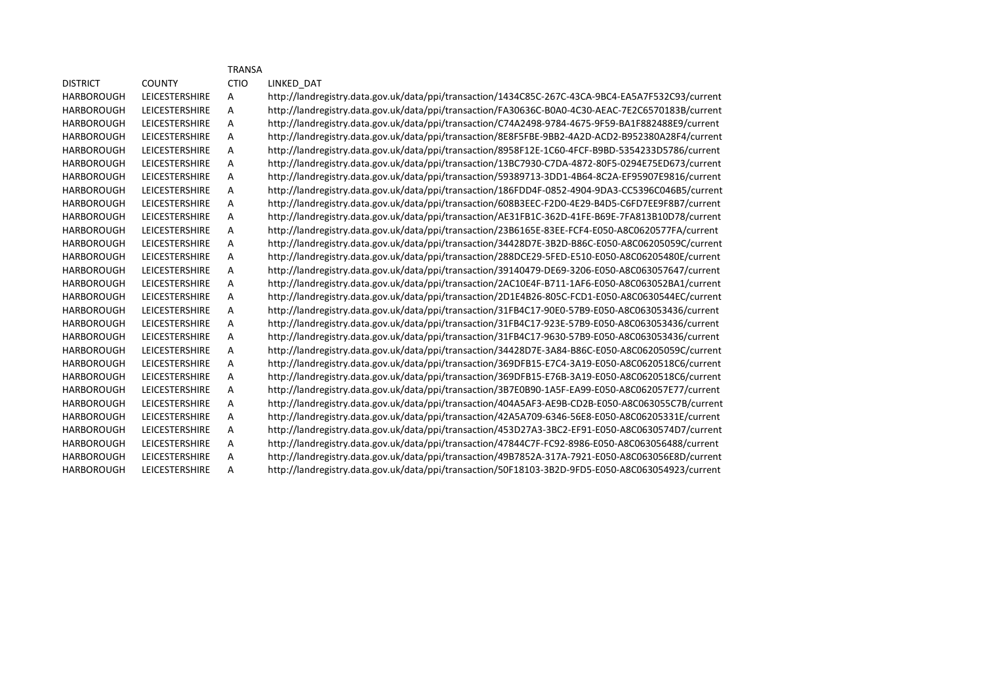|                   |                       | <b>TRANSA</b> |                                                                                                   |
|-------------------|-----------------------|---------------|---------------------------------------------------------------------------------------------------|
| <b>DISTRICT</b>   | <b>COUNTY</b>         | <b>CTIO</b>   | LINKED DAT                                                                                        |
| <b>HARBOROUGH</b> | <b>LEICESTERSHIRE</b> | А             | http://landregistry.data.gov.uk/data/ppi/transaction/1434C85C-267C-43CA-9BC4-EA5A7F532C93/current |
| <b>HARBOROUGH</b> | <b>LEICESTERSHIRE</b> | Α             | http://landregistry.data.gov.uk/data/ppi/transaction/FA30636C-B0A0-4C30-AEAC-7E2C6570183B/current |
| <b>HARBOROUGH</b> | <b>LEICESTERSHIRE</b> | A             | http://landregistry.data.gov.uk/data/ppi/transaction/C74A2498-9784-4675-9F59-BA1F882488E9/current |
| <b>HARBOROUGH</b> | <b>LEICESTERSHIRE</b> | А             | http://landregistry.data.gov.uk/data/ppi/transaction/8E8F5FBE-9BB2-4A2D-ACD2-B952380A28F4/current |
| <b>HARBOROUGH</b> | <b>LEICESTERSHIRE</b> | A             | http://landregistry.data.gov.uk/data/ppi/transaction/8958F12E-1C60-4FCF-B9BD-5354233D5786/current |
| <b>HARBOROUGH</b> | <b>LEICESTERSHIRE</b> | А             | http://landregistry.data.gov.uk/data/ppi/transaction/13BC7930-C7DA-4872-80F5-0294E75ED673/current |
| <b>HARBOROUGH</b> | <b>LEICESTERSHIRE</b> | Α             | http://landregistry.data.gov.uk/data/ppi/transaction/59389713-3DD1-4B64-8C2A-EF95907E9816/current |
| <b>HARBOROUGH</b> | <b>LEICESTERSHIRE</b> | Α             | http://landregistry.data.gov.uk/data/ppi/transaction/186FDD4F-0852-4904-9DA3-CC5396C046B5/current |
| <b>HARBOROUGH</b> | <b>LEICESTERSHIRE</b> | А             | http://landregistry.data.gov.uk/data/ppi/transaction/608B3EEC-F2D0-4E29-B4D5-C6FD7EE9F8B7/current |
| <b>HARBOROUGH</b> | <b>LEICESTERSHIRE</b> | Α             | http://landregistry.data.gov.uk/data/ppi/transaction/AE31FB1C-362D-41FE-B69E-7FA813B10D78/current |
| <b>HARBOROUGH</b> | <b>LEICESTERSHIRE</b> | A             | http://landregistry.data.gov.uk/data/ppi/transaction/23B6165E-83EE-FCF4-E050-A8C0620577FA/current |
| <b>HARBOROUGH</b> | <b>LEICESTERSHIRE</b> | Α             | http://landregistry.data.gov.uk/data/ppi/transaction/34428D7E-3B2D-B86C-E050-A8C06205059C/current |
| <b>HARBOROUGH</b> | <b>LEICESTERSHIRE</b> | Α             | http://landregistry.data.gov.uk/data/ppi/transaction/288DCE29-5FED-E510-E050-A8C06205480E/current |
| <b>HARBOROUGH</b> | <b>LEICESTERSHIRE</b> | A             | http://landregistry.data.gov.uk/data/ppi/transaction/39140479-DE69-3206-E050-A8C063057647/current |
| <b>HARBOROUGH</b> | <b>LEICESTERSHIRE</b> | Α             | http://landregistry.data.gov.uk/data/ppi/transaction/2AC10E4F-B711-1AF6-E050-A8C063052BA1/current |
| <b>HARBOROUGH</b> | <b>LEICESTERSHIRE</b> | A             | http://landregistry.data.gov.uk/data/ppi/transaction/2D1E4B26-805C-FCD1-E050-A8C0630544EC/current |
| <b>HARBOROUGH</b> | <b>LEICESTERSHIRE</b> | Α             | http://landregistry.data.gov.uk/data/ppi/transaction/31FB4C17-90E0-57B9-E050-A8C063053436/current |
| <b>HARBOROUGH</b> | <b>LEICESTERSHIRE</b> | Α             | http://landregistry.data.gov.uk/data/ppi/transaction/31FB4C17-923E-57B9-E050-A8C063053436/current |
| <b>HARBOROUGH</b> | <b>LEICESTERSHIRE</b> | A             | http://landregistry.data.gov.uk/data/ppi/transaction/31FB4C17-9630-57B9-E050-A8C063053436/current |
| <b>HARBOROUGH</b> | <b>LEICESTERSHIRE</b> | Α             | http://landregistry.data.gov.uk/data/ppi/transaction/34428D7E-3A84-B86C-E050-A8C06205059C/current |
| <b>HARBOROUGH</b> | <b>LEICESTERSHIRE</b> | A             | http://landregistry.data.gov.uk/data/ppi/transaction/369DFB15-E7C4-3A19-E050-A8C0620518C6/current |
| <b>HARBOROUGH</b> | <b>LEICESTERSHIRE</b> | Α             | http://landregistry.data.gov.uk/data/ppi/transaction/369DFB15-E76B-3A19-E050-A8C0620518C6/current |
| <b>HARBOROUGH</b> | LEICESTERSHIRE        | Α             | http://landregistry.data.gov.uk/data/ppi/transaction/3B7E0B90-1A5F-EA99-E050-A8C062057E77/current |
| <b>HARBOROUGH</b> | <b>LEICESTERSHIRE</b> | A             | http://landregistry.data.gov.uk/data/ppi/transaction/404A5AF3-AE9B-CD2B-E050-A8C063055C7B/current |
| <b>HARBOROUGH</b> | <b>LEICESTERSHIRE</b> | Α             | http://landregistry.data.gov.uk/data/ppi/transaction/42A5A709-6346-56E8-E050-A8C06205331E/current |
| <b>HARBOROUGH</b> | <b>LEICESTERSHIRE</b> | А             | http://landregistry.data.gov.uk/data/ppi/transaction/453D27A3-3BC2-EF91-E050-A8C0630574D7/current |
| <b>HARBOROUGH</b> | <b>LEICESTERSHIRE</b> | Α             | http://landregistry.data.gov.uk/data/ppi/transaction/47844C7F-FC92-8986-E050-A8C063056488/current |
| <b>HARBOROUGH</b> | <b>LEICESTERSHIRE</b> | A             | http://landregistry.data.gov.uk/data/ppi/transaction/49B7852A-317A-7921-E050-A8C063056E8D/current |
| <b>HARBOROUGH</b> | <b>LEICESTERSHIRE</b> | Α             | http://landregistry.data.gov.uk/data/ppi/transaction/50F18103-3B2D-9FD5-E050-A8C063054923/current |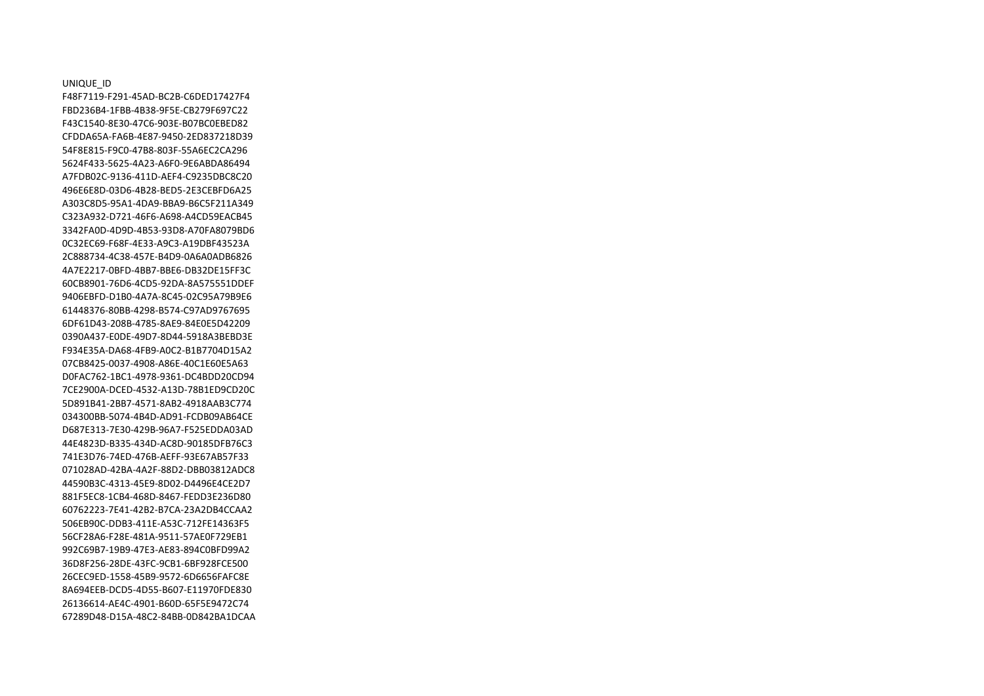UNIQUE\_ID F48F7119-F291-45AD-BC2B-C6DED17427F4 FBD236B4-1FBB-4B38-9F5E-CB279F697C22 F43C1540-8E30-47C6-903E-B07BC0EBED82 CFDDA65A-FA6B-4E87-9450-2ED837218D39 54F8E815-F9C0-47B8-803F-55A6EC2CA296 5624F433-5625-4A23-A6F0-9E6ABDA86494 A7FDB02C-9136-411D-AEF4-C9235DBC8C20 496E6E8D-03D6-4B28-BED5-2E3CEBFD6A25 A303C8D5-95A1-4DA9-BBA9-B6C5F211A349 C323A932-D721-46F6-A698-A4CD59EACB45 3342FA0D-4D9D-4B53-93D8-A70FA8079BD6 0C32EC69-F68F-4E33-A9C3-A19DBF43523A 2C888734-4C38-457E-B4D9-0A6A0ADB6826 4A7E2217-0BFD-4BB7-BBE6-DB32DE15FF3C 60CB8901-76D6-4CD5-92DA-8A575551DDEF 9406EBFD-D1B0-4A7A-8C45-02C95A79B9E6 61448376-80BB-4298-B574-C97AD9767695 6DF61D43-208B-4785-8AE9-84E0E5D42209 0390A437-E0DE-49D7-8D44-5918A3BEBD3E F934E35A-DA68-4FB9-A0C2-B1B7704D15A2 07CB8425-0037-4908-A86E-40C1E60E5A63 D0FAC762-1BC1-4978-9361-DC4BDD20CD94 7CE2900A-DCED-4532-A13D-78B1ED9CD20C 5D891B41-2BB7-4571-8AB2-4918AAB3C774 034300BB-5074-4B4D-AD91-FCDB09AB64CE D687E313-7E30-429B-96A7-F525EDDA03AD 44E4823D-B335-434D-AC8D-90185DFB76C3 741E3D76-74ED-476B-AEFF-93E67AB57F33 071028AD-42BA-4A2F-88D2-DBB03812ADC8 44590B3C-4313-45E9-8D02-D4496E4CE2D7 881F5EC8-1CB4-468D-8467-FEDD3E236D80 60762223-7E41-42B2-B7CA-23A2DB4CCAA2 506EB90C-DDB3-411E-A53C-712FE14363F5 56CF28A6-F28E-481A-9511-57AE0F729EB1 992C69B7-19B9-47E3-AE83-894C0BFD99A2 36D8F256-28DE-43FC-9CB1-6BF928FCE500 26CEC9ED-1558-45B9-9572-6D6656FAFC8E 8A694EEB-DCD5-4D55-B607-E11970FDE830 26136614-AE4C-4901-B60D-65F5E9472C74 67289D48-D15A-48C2-84BB-0D842BA1DCAA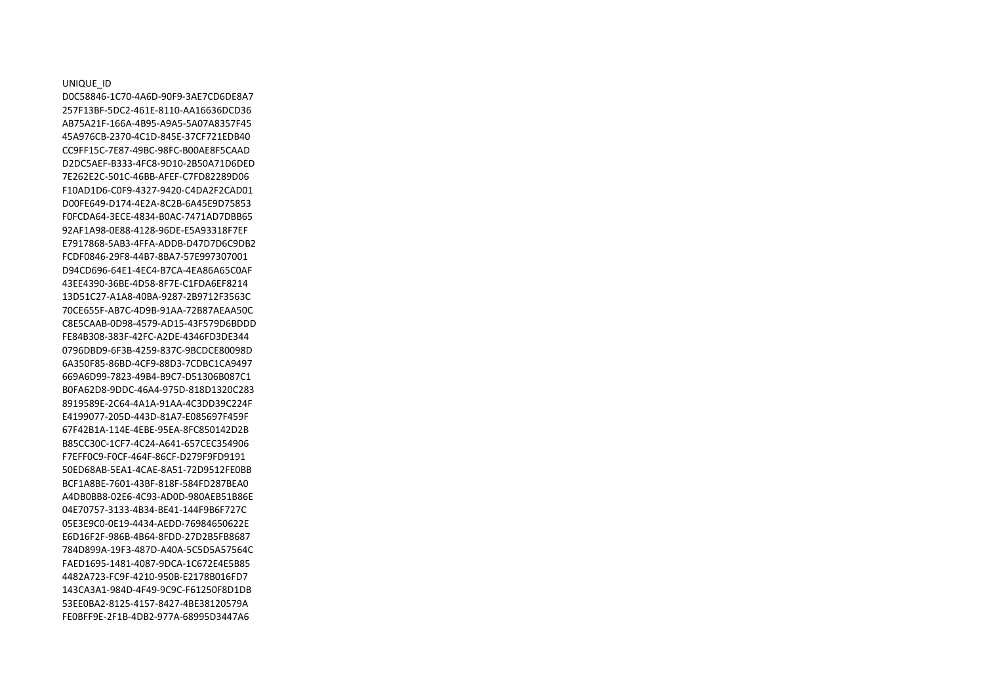UNIQUE\_ID D0C58846-1C70-4A6D-90F9-3AE7CD6DE8A7 257F13BF-5DC2-461E-8110-AA16636DCD36 AB75A21F-166A-4B95-A9A5-5A07A8357F45 45A976CB-2370-4C1D-845E-37CF721EDB40 CC9FF15C-7E87-49BC-98FC-B00AE8F5CAAD D2DC5AEF-B333-4FC8-9D10-2B50A71D6DED 7E262E2C-501C-46BB-AFEF-C7FD82289D06 F10AD1D6-C0F9-4327-9420-C4DA2F2CAD01 D00FE649-D174-4E2A-8C2B-6A45E9D75853 F0FCDA64-3ECE-4834-B0AC-7471AD7DBB65 92AF1A98-0E88-4128-96DE-E5A93318F7EF E7917868-5AB3-4FFA-ADDB-D47D7D6C9DB2 FCDF0846-29F8-44B7-8BA7-57E997307001 D94CD696-64E1-4EC4-B7CA-4EA86A65C0AF 43EE4390-36BE-4D58-8F7E-C1FDA6EF8214 13D51C27-A1A8-40BA-9287-2B9712F3563C 70CE655F-AB7C-4D9B-91AA-72B87AEAA50C C8E5CAAB-0D98-4579-AD15-43F579D6BDDD FE84B308-383F-42FC-A2DE-4346FD3DE344 0796DBD9-6F3B-4259-837C-9BCDCE80098D 6A350F85-86BD-4CF9-88D3-7CDBC1CA9497 669A6D99-7823-49B4-B9C7-D51306B087C1 B0FA62D8-9DDC-46A4-975D-818D1320C283 8919589E-2C64-4A1A-91AA-4C3DD39C224F E4199077-205D-443D-81A7-E085697F459F 67F42B1A-114E-4EBE-95EA-8FC850142D2B B85CC30C-1CF7-4C24-A641-657CEC354906 F7EFF0C9-F0CF-464F-86CF-D279F9FD9191 50ED68AB-5EA1-4CAE-8A51-72D9512FE0BB BCF1A8BE-7601-43BF-818F-584FD287BEA0 A4DB0BB8-02E6-4C93-AD0D-980AEB51B86E 04E70757-3133-4B34-BE41-144F9B6F727C 05E3E9C0-0E19-4434-AEDD-76984650622E E6D16F2F-986B-4B64-8FDD-27D2B5FB8687 784D899A-19F3-487D-A40A-5C5D5A57564C FAED1695-1481-4087-9DCA-1C672E4E5B85 4482A723-FC9F-4210-950B-E2178B016FD7 143CA3A1-984D-4F49-9C9C-F61250F8D1DB 53EE0BA2-8125-4157-8427-4BE38120579A FE0BFF9E-2F1B-4DB2-977A-68995D3447A6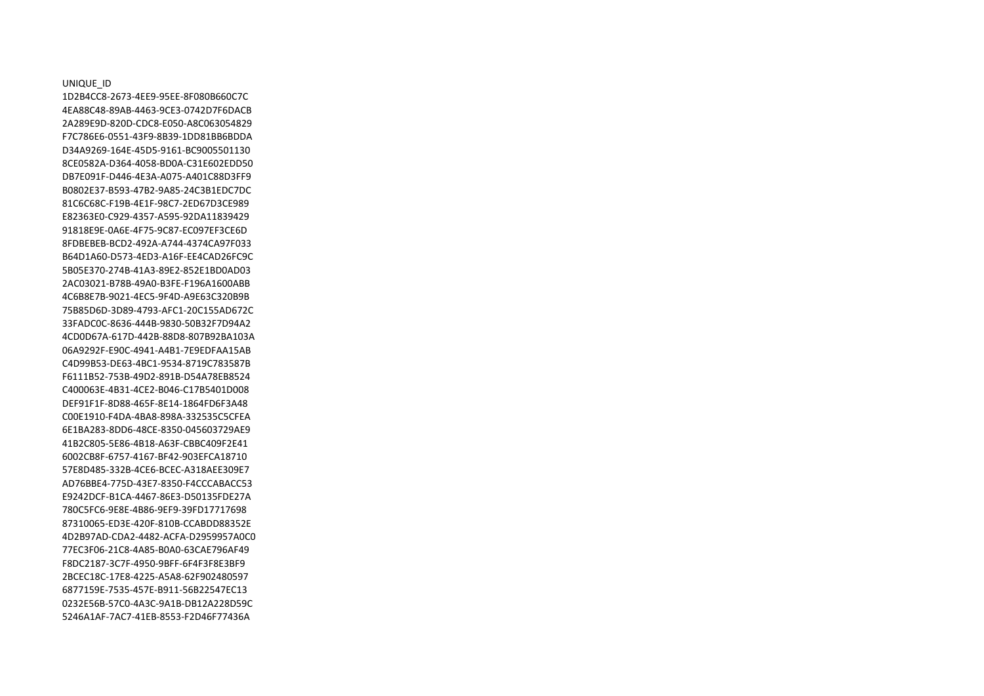UNIQUE\_ID 1D2B4CC8-2673-4EE9-95EE-8F080B660C7C 4EA88C48-89AB-4463-9CE3-0742D7F6DACB 2A289E9D-820D-CDC8-E050-A8C063054829 F7C786E6-0551-43F9-8B39-1DD81BB6BDDA D34A9269-164E-45D5-9161-BC9005501130 8CE0582A-D364-4058-BD0A-C31E602EDD50 DB7E091F-D446-4E3A-A075-A401C88D3FF9 B0802E37-B593-47B2-9A85-24C3B1EDC7DC 81C6C68C-F19B-4E1F-98C7-2ED67D3CE989 E82363E0-C929-4357-A595-92DA11839429 91818E9E-0A6E-4F75-9C87-EC097EF3CE6D 8FDBEBEB-BCD2-492A-A744-4374CA97F033 B64D1A60-D573-4ED3-A16F-EE4CAD26FC9C 5B05E370-274B-41A3-89E2-852E1BD0AD03 2AC03021-B78B-49A0-B3FE-F196A1600ABB 4C6B8E7B-9021-4EC5-9F4D-A9E63C320B9B 75B85D6D-3D89-4793-AFC1-20C155AD672C 33FADC0C-8636-444B-9830-50B32F7D94A2 4CD0D67A-617D-442B-88D8-807B92BA103A 06A9292F-E90C-4941-A4B1-7E9EDFAA15AB C4D99B53-DE63-4BC1-9534-8719C783587B F6111B52-753B-49D2-891B-D54A78EB8524 C400063E-4B31-4CE2-B046-C17B5401D008 DEF91F1F-8D88-465F-8E14-1864FD6F3A48 C00E1910-F4DA-4BA8-898A-332535C5CFEA 6E1BA283-8DD6-48CE-8350-045603729AE9 41B2C805-5E86-4B18-A63F-CBBC409F2E41 6002CB8F-6757-4167-BF42-903EFCA18710 57E8D485-332B-4CE6-BCEC-A318AEE309E7 AD76BBE4-775D-43E7-8350-F4CCCABACC53 E9242DCF-B1CA-4467-86E3-D50135FDE27A 780C5FC6-9E8E-4B86-9EF9-39FD17717698 87310065-ED3E-420F-810B-CCABDD88352E 4D2B97AD-CDA2-4482-ACFA-D2959957A0C0 77EC3F06-21C8-4A85-B0A0-63CAE796AF49 F8DC2187-3C7F-4950-9BFF-6F4F3F8E3BF9 2BCEC18C-17E8-4225-A5A8-62F902480597 6877159E-7535-457E-B911-56B22547EC13 0232E56B-57C0-4A3C-9A1B-DB12A228D59C 5246A1AF-7AC7-41EB-8553-F2D46F77436A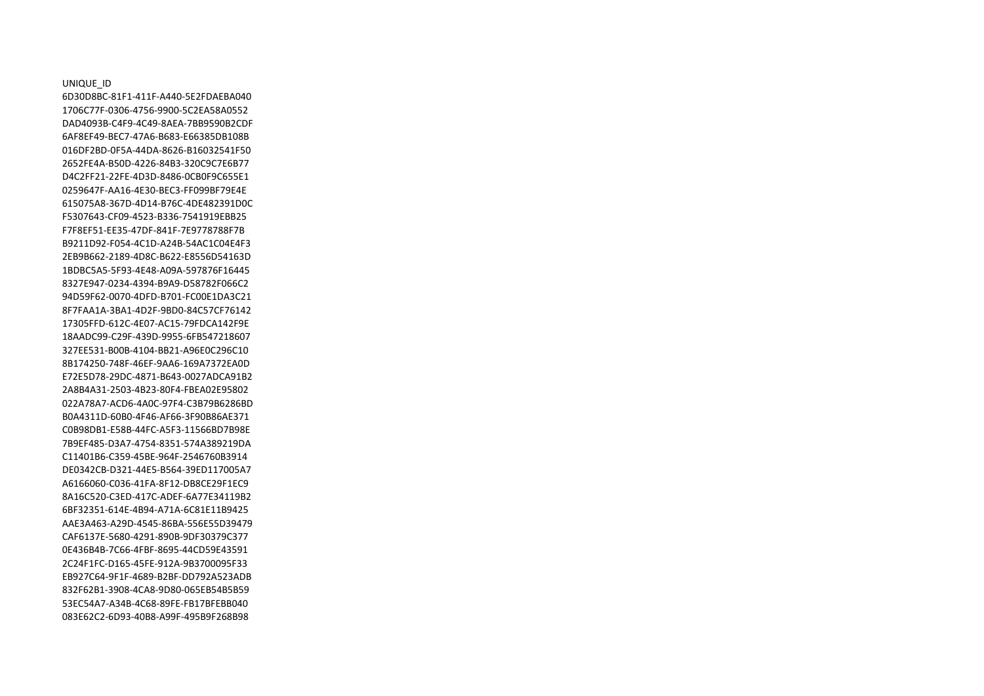UNIQUE\_ID 6D30D8BC-81F1-411F-A440-5E2FDAEBA040 1706C77F-0306-4756-9900-5C2EA58A0552 DAD4093B-C4F9-4C49-8AEA-7BB9590B2CDF 6AF8EF49-BEC7-47A6-B683-E66385DB108B 016DF2BD-0F5A-44DA-8626-B16032541F50 2652FE4A-B50D-4226-84B3-320C9C7E6B77 D4C2FF21-22FE-4D3D-8486-0CB0F9C655E1 0259647F-AA16-4E30-BEC3-FF099BF79E4E 615075A8-367D-4D14-B76C-4DE482391D0C F5307643-CF09-4523-B336-7541919EBB25 F7F8EF51-EE35-47DF-841F-7E9778788F7B B9211D92-F054-4C1D-A24B-54AC1C04E4F3 2EB9B662-2189-4D8C-B622-E8556D54163D 1BDBC5A5-5F93-4E48-A09A-597876F16445 8327E947-0234-4394-B9A9-D58782F066C2 94D59F62-0070-4DFD-B701-FC00E1DA3C21 8F7FAA1A-3BA1-4D2F-9BD0-84C57CF76142 17305FFD-612C-4E07-AC15-79FDCA142F9E 18AADC99-C29F-439D-9955-6FB547218607 327EE531-B00B-4104-BB21-A96E0C296C10 8B174250-748F-46EF-9AA6-169A7372EA0D E72E5D78-29DC-4871-B643-0027ADCA91B2 2A8B4A31-2503-4B23-80F4-FBEA02E95802 022A78A7-ACD6-4A0C-97F4-C3B79B6286BD B0A4311D-60B0-4F46-AF66-3F90B86AE371 C0B98DB1-E58B-44FC-A5F3-11566BD7B98E 7B9EF485-D3A7-4754-8351-574A389219DA C11401B6-C359-45BE-964F-2546760B3914 DE0342CB-D321-44E5-B564-39ED117005A7 A6166060-C036-41FA-8F12-DB8CE29F1EC9 8A16C520-C3ED-417C-ADEF-6A77E34119B2 6BF32351-614E-4B94-A71A-6C81E11B9425 AAE3A463-A29D-4545-86BA-556E55D39479 CAF6137E-5680-4291-890B-9DF30379C377 0E436B4B-7C66-4FBF-8695-44CD59E43591 2C24F1FC-D165-45FE-912A-9B3700095F33 EB927C64-9F1F-4689-B2BF-DD792A523ADB 832F62B1-3908-4CA8-9D80-065EB54B5B59 53EC54A7-A34B-4C68-89FE-FB17BFEBB040 083E62C2-6D93-40B8-A99F-495B9F268B98